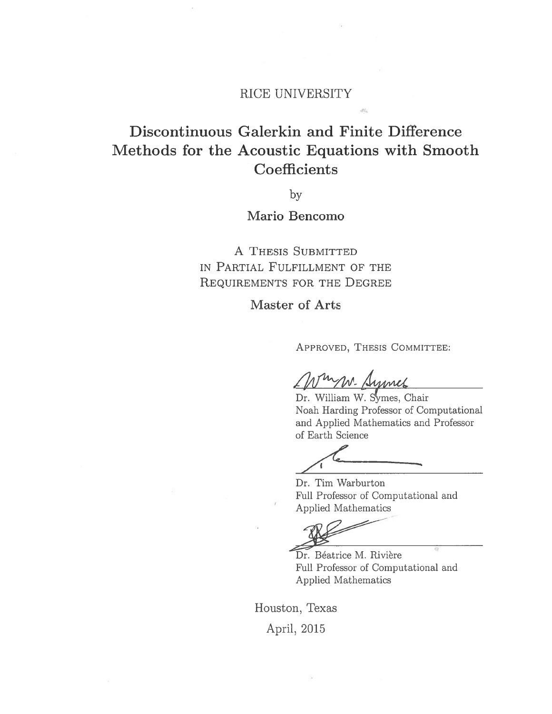### RICE UNIVERSITY

# Discontinuous Galerkin and Finite Difference Methods for the Acoustic Equations with Smooth Coefficients

by

## Mario Bencomo

A THESIS SUBMITTED IN PARTIAL FULFILLMENT OF THE REQUIREMENTS FOR THE DEGREE

Master of Arts

APPROVED, THESIS COMMITTEE:

nr. Simmel

Dr. William W. Symes, Chair Noah Harding Professor of Computational and Applied Mathematics and Professor of Earth Science

Dr. Tim Warburton Full Professor of Computational and Applied Mathematics

Dr. Béatrice M. Rivière Full Professor of Computational and Applied Mathematics

Houston, Texas April, 2015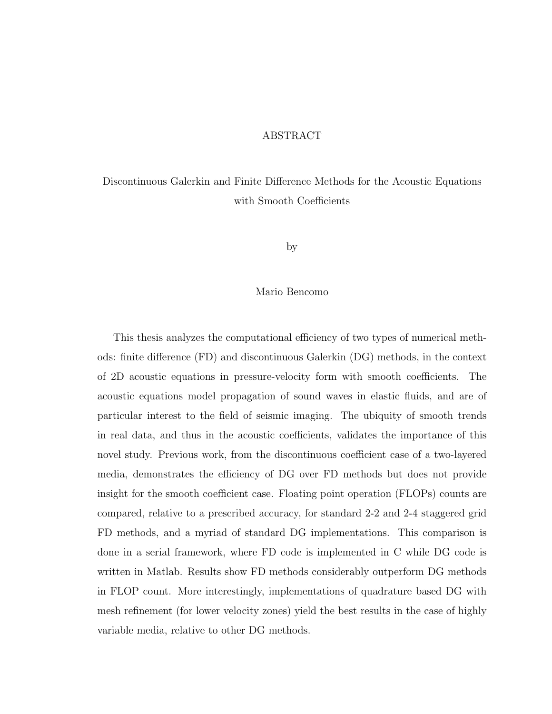#### ABSTRACT

## Discontinuous Galerkin and Finite Difference Methods for the Acoustic Equations with Smooth Coefficients

by

#### Mario Bencomo

This thesis analyzes the computational efficiency of two types of numerical methods: finite difference (FD) and discontinuous Galerkin (DG) methods, in the context of 2D acoustic equations in pressure-velocity form with smooth coefficients. The acoustic equations model propagation of sound waves in elastic fluids, and are of particular interest to the field of seismic imaging. The ubiquity of smooth trends in real data, and thus in the acoustic coefficients, validates the importance of this novel study. Previous work, from the discontinuous coefficient case of a two-layered media, demonstrates the efficiency of DG over FD methods but does not provide insight for the smooth coefficient case. Floating point operation (FLOPs) counts are compared, relative to a prescribed accuracy, for standard 2-2 and 2-4 staggered grid FD methods, and a myriad of standard DG implementations. This comparison is done in a serial framework, where FD code is implemented in C while DG code is written in Matlab. Results show FD methods considerably outperform DG methods in FLOP count. More interestingly, implementations of quadrature based DG with mesh refinement (for lower velocity zones) yield the best results in the case of highly variable media, relative to other DG methods.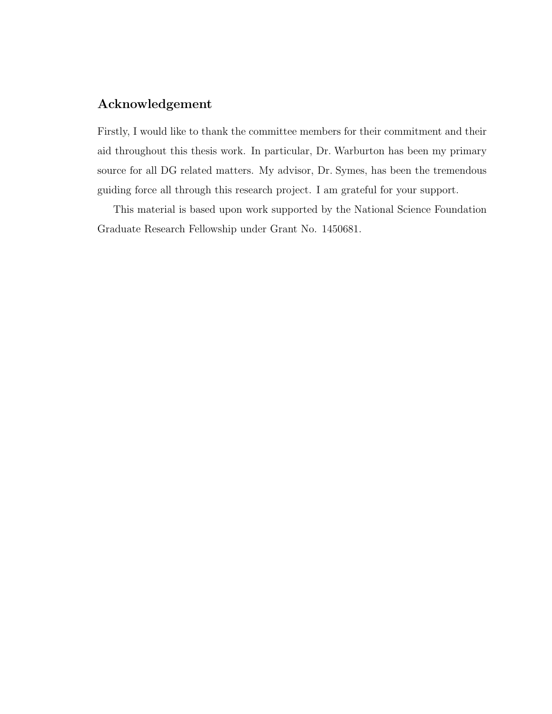### Acknowledgement

Firstly, I would like to thank the committee members for their commitment and their aid throughout this thesis work. In particular, Dr. Warburton has been my primary source for all DG related matters. My advisor, Dr. Symes, has been the tremendous guiding force all through this research project. I am grateful for your support.

This material is based upon work supported by the National Science Foundation Graduate Research Fellowship under Grant No. 1450681.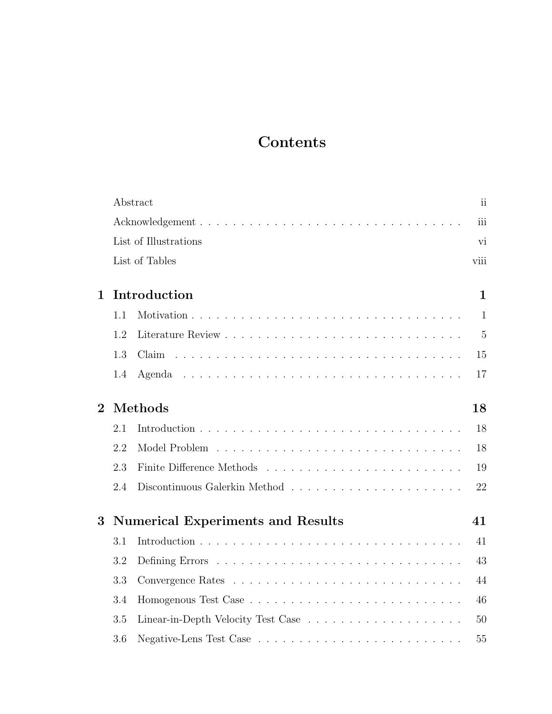# Contents

|                |         | Abstract                                 | ii             |
|----------------|---------|------------------------------------------|----------------|
|                |         |                                          | iii            |
|                |         | List of Illustrations                    | vi             |
|                |         | List of Tables                           | viii           |
| $\mathbf{1}$   |         | Introduction                             | $\mathbf{1}$   |
|                | 1.1     |                                          | $\mathbf{1}$   |
|                | 1.2     |                                          | $\overline{5}$ |
|                | 1.3     | Claim                                    | 15             |
|                | 1.4     |                                          | 17             |
| $\overline{2}$ | Methods |                                          |                |
|                | 2.1     |                                          | 18             |
|                | 2.2     |                                          | 18             |
|                | 2.3     |                                          | 19             |
|                | 2.4     |                                          | 22             |
| $\bf{3}$       |         | <b>Numerical Experiments and Results</b> | 41             |
|                | 3.1     |                                          | 41             |
|                | 3.2     |                                          | 43             |
|                | 3.3     |                                          | 44             |
|                | 3.4     |                                          | 46             |
|                | 3.5     |                                          | 50             |
|                | 3.6     |                                          | 55             |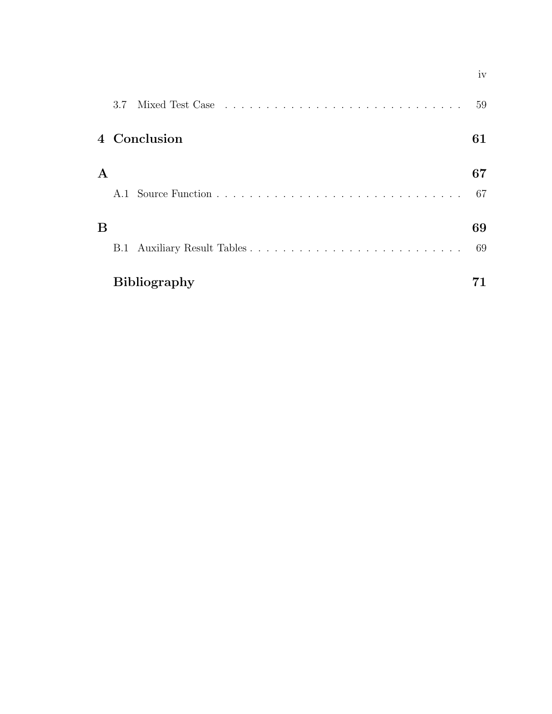|             |                     | 59 |
|-------------|---------------------|----|
|             | 4 Conclusion        | 61 |
| $\mathbf A$ |                     | 67 |
|             |                     | 67 |
| B           |                     | 69 |
|             |                     | 69 |
|             | <b>Bibliography</b> |    |

iv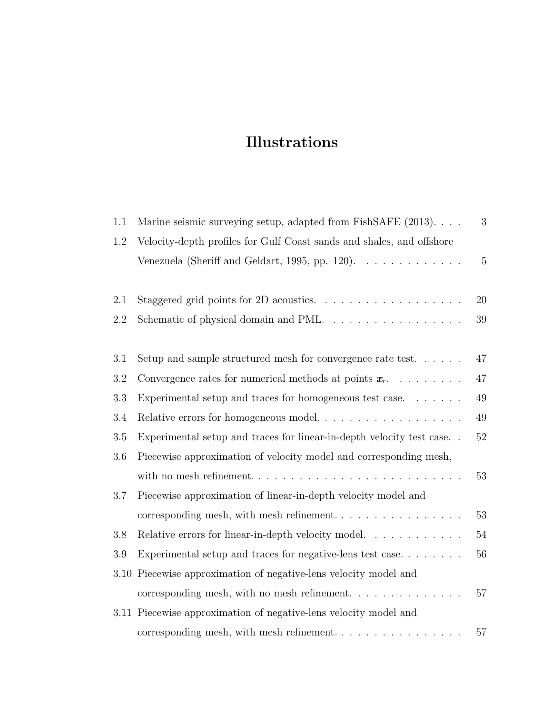# Illustrations

| 1.1 | Marine seismic surveying setup, adapted from FishSAFE (2013).                       | 3              |
|-----|-------------------------------------------------------------------------------------|----------------|
| 1.2 | Velocity-depth profiles for Gulf Coast sands and shales, and offshore               |                |
|     | Venezuela (Sheriff and Geldart, 1995, pp. 120). $\ldots \ldots \ldots \ldots$       | $\overline{5}$ |
|     |                                                                                     |                |
| 2.1 | Staggered grid points for 2D acoustics. $\ldots \ldots \ldots \ldots \ldots \ldots$ | 20             |
| 2.2 | Schematic of physical domain and PML                                                | 39             |
|     |                                                                                     |                |
| 3.1 | Setup and sample structured mesh for convergence rate test. $\dots$ .               | 47             |
| 3.2 | Convergence rates for numerical methods at points $x_r$                             | 47             |
| 3.3 | Experimental setup and traces for homogeneous test case. $\dots \dots$              | 49             |
| 3.4 | Relative errors for homogeneous model                                               | 49             |
| 3.5 | Experimental setup and traces for linear-in-depth velocity test case                | 52             |
| 3.6 | Piecewise approximation of velocity model and corresponding mesh,                   |                |
|     |                                                                                     | 53             |
| 3.7 | Piecewise approximation of linear-in-depth velocity model and                       |                |
|     |                                                                                     | 53             |
| 3.8 | Relative errors for linear-in-depth velocity model.                                 | 54             |
| 3.9 | Experimental setup and traces for negative-lens test case                           | 56             |
|     | 3.10 Piecewise approximation of negative-lens velocity model and                    |                |
|     | corresponding mesh, with no mesh refinement. $\ldots \ldots \ldots \ldots$          | 57             |
|     | 3.11 Piecewise approximation of negative-lens velocity model and                    |                |
|     | corresponding mesh, with mesh refinement                                            | 57             |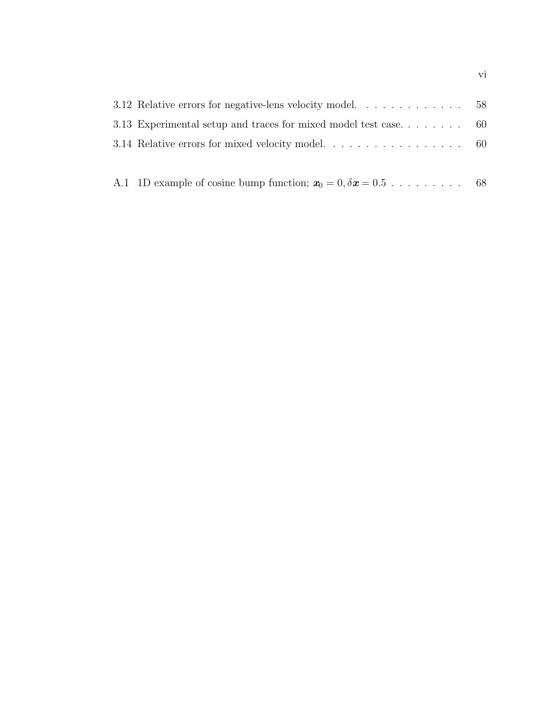| 3.13 Experimental setup and traces for mixed model test case 60 |  |
|-----------------------------------------------------------------|--|
|                                                                 |  |
|                                                                 |  |

| A.1 1D example of cosine bump function; $x_0 = 0, \delta x = 0.5$ 68 |  |
|----------------------------------------------------------------------|--|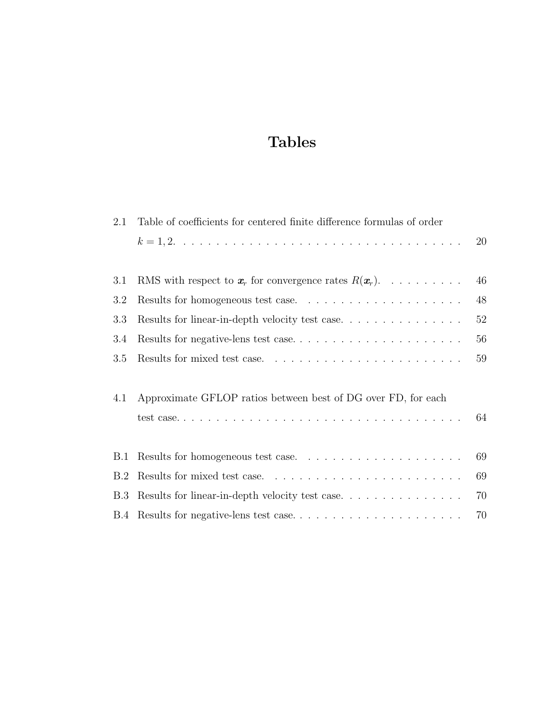# Tables

| 2.1 | Table of coefficients for centered finite difference formulas of order               |    |
|-----|--------------------------------------------------------------------------------------|----|
|     |                                                                                      | 20 |
| 3.1 | RMS with respect to $x_r$ for convergence rates $R(x_r)$ .                           | 46 |
| 3.2 |                                                                                      | 48 |
| 3.3 | Results for linear-in-depth velocity test case                                       | 52 |
| 3.4 |                                                                                      | 56 |
| 3.5 |                                                                                      | 59 |
|     |                                                                                      |    |
| 4.1 | Approximate GFLOP ratios between best of DG over FD, for each                        |    |
|     |                                                                                      | 64 |
|     |                                                                                      |    |
| B.1 |                                                                                      | 69 |
| B.2 |                                                                                      | 69 |
| B.3 | Results for linear-in-depth velocity test case. $\ldots \ldots \ldots \ldots \ldots$ | 70 |
|     | B.4 Results for negative-lens test case                                              | 70 |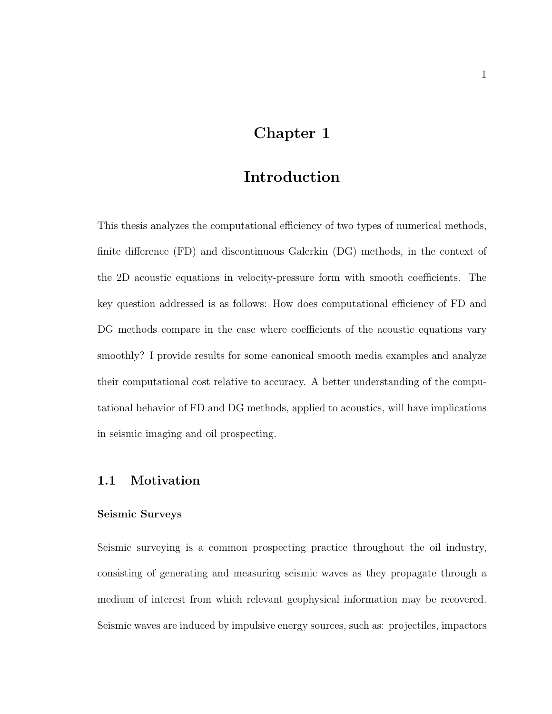## Chapter 1

## Introduction

This thesis analyzes the computational efficiency of two types of numerical methods, finite difference (FD) and discontinuous Galerkin (DG) methods, in the context of the 2D acoustic equations in velocity-pressure form with smooth coefficients. The key question addressed is as follows: How does computational efficiency of FD and DG methods compare in the case where coefficients of the acoustic equations vary smoothly? I provide results for some canonical smooth media examples and analyze their computational cost relative to accuracy. A better understanding of the computational behavior of FD and DG methods, applied to acoustics, will have implications in seismic imaging and oil prospecting.

### 1.1 Motivation

#### Seismic Surveys

Seismic surveying is a common prospecting practice throughout the oil industry, consisting of generating and measuring seismic waves as they propagate through a medium of interest from which relevant geophysical information may be recovered. Seismic waves are induced by impulsive energy sources, such as: projectiles, impactors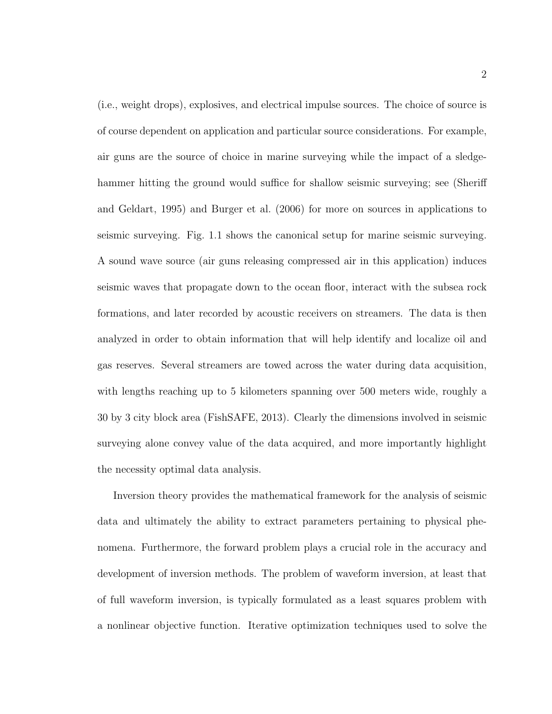(i.e., weight drops), explosives, and electrical impulse sources. The choice of source is of course dependent on application and particular source considerations. For example, air guns are the source of choice in marine surveying while the impact of a sledgehammer hitting the ground would suffice for shallow seismic surveying; see (Sheriff and Geldart, 1995) and Burger et al. (2006) for more on sources in applications to seismic surveying. Fig. 1.1 shows the canonical setup for marine seismic surveying. A sound wave source (air guns releasing compressed air in this application) induces seismic waves that propagate down to the ocean floor, interact with the subsea rock formations, and later recorded by acoustic receivers on streamers. The data is then analyzed in order to obtain information that will help identify and localize oil and gas reserves. Several streamers are towed across the water during data acquisition, with lengths reaching up to 5 kilometers spanning over 500 meters wide, roughly a 30 by 3 city block area (FishSAFE, 2013). Clearly the dimensions involved in seismic surveying alone convey value of the data acquired, and more importantly highlight the necessity optimal data analysis.

Inversion theory provides the mathematical framework for the analysis of seismic data and ultimately the ability to extract parameters pertaining to physical phenomena. Furthermore, the forward problem plays a crucial role in the accuracy and development of inversion methods. The problem of waveform inversion, at least that of full waveform inversion, is typically formulated as a least squares problem with a nonlinear objective function. Iterative optimization techniques used to solve the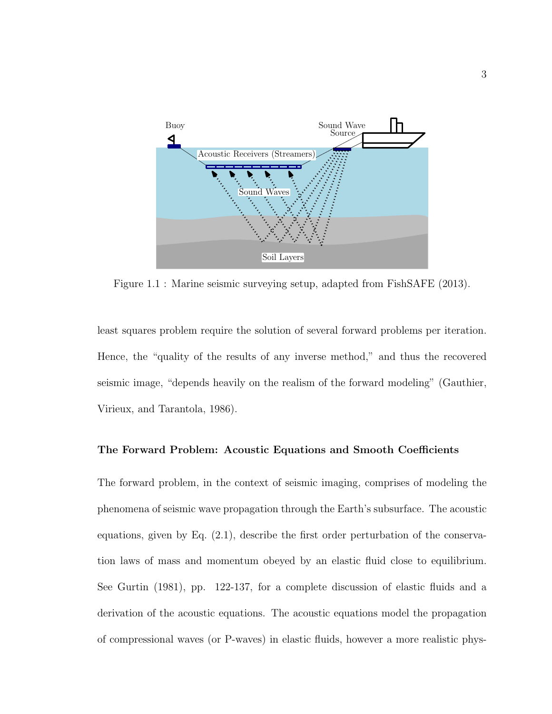

Figure 1.1 : Marine seismic surveying setup, adapted from FishSAFE (2013).

least squares problem require the solution of several forward problems per iteration. Hence, the "quality of the results of any inverse method," and thus the recovered seismic image, "depends heavily on the realism of the forward modeling" (Gauthier, Virieux, and Tarantola, 1986).

#### The Forward Problem: Acoustic Equations and Smooth Coefficients

The forward problem, in the context of seismic imaging, comprises of modeling the phenomena of seismic wave propagation through the Earth's subsurface. The acoustic equations, given by Eq. (2.1), describe the first order perturbation of the conservation laws of mass and momentum obeyed by an elastic fluid close to equilibrium. See Gurtin (1981), pp. 122-137, for a complete discussion of elastic fluids and a derivation of the acoustic equations. The acoustic equations model the propagation of compressional waves (or P-waves) in elastic fluids, however a more realistic phys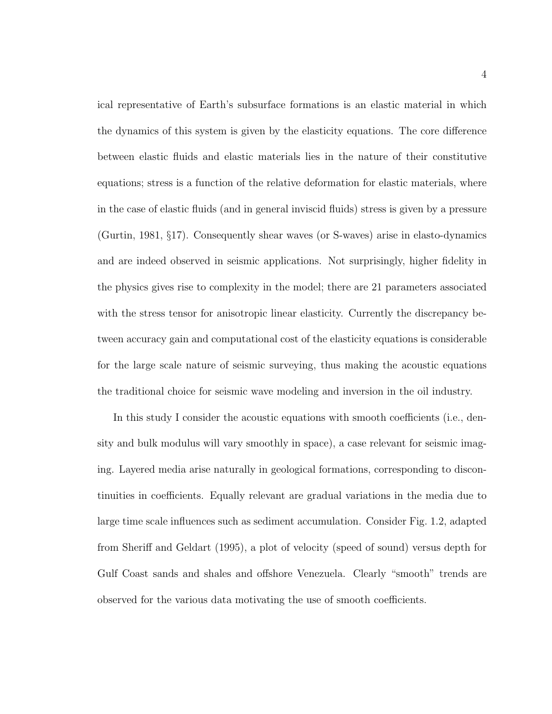ical representative of Earth's subsurface formations is an elastic material in which the dynamics of this system is given by the elasticity equations. The core difference between elastic fluids and elastic materials lies in the nature of their constitutive equations; stress is a function of the relative deformation for elastic materials, where in the case of elastic fluids (and in general inviscid fluids) stress is given by a pressure (Gurtin, 1981, §17). Consequently shear waves (or S-waves) arise in elasto-dynamics and are indeed observed in seismic applications. Not surprisingly, higher fidelity in the physics gives rise to complexity in the model; there are 21 parameters associated with the stress tensor for anisotropic linear elasticity. Currently the discrepancy between accuracy gain and computational cost of the elasticity equations is considerable for the large scale nature of seismic surveying, thus making the acoustic equations the traditional choice for seismic wave modeling and inversion in the oil industry.

In this study I consider the acoustic equations with smooth coefficients (i.e., density and bulk modulus will vary smoothly in space), a case relevant for seismic imaging. Layered media arise naturally in geological formations, corresponding to discontinuities in coefficients. Equally relevant are gradual variations in the media due to large time scale influences such as sediment accumulation. Consider Fig. 1.2, adapted from Sheriff and Geldart (1995), a plot of velocity (speed of sound) versus depth for Gulf Coast sands and shales and offshore Venezuela. Clearly "smooth" trends are observed for the various data motivating the use of smooth coefficients.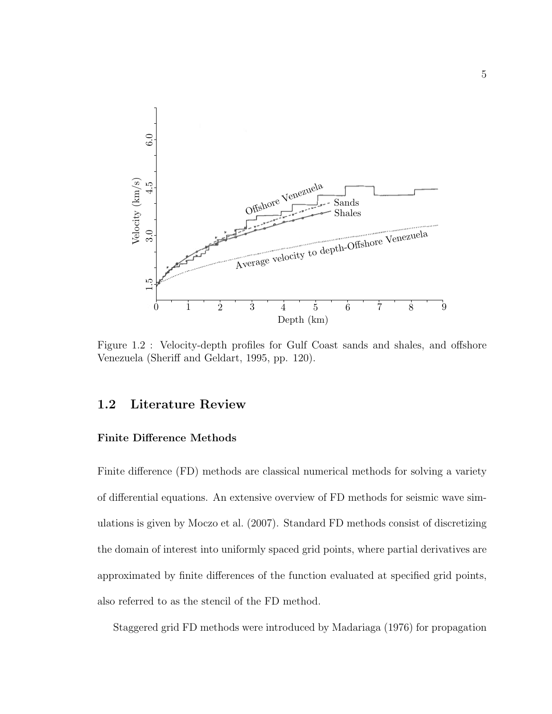

Figure 1.2 : Velocity-depth profiles for Gulf Coast sands and shales, and offshore Venezuela (Sheriff and Geldart, 1995, pp. 120).

## 1.2 Literature Review

#### Finite Difference Methods

Finite difference (FD) methods are classical numerical methods for solving a variety of differential equations. An extensive overview of FD methods for seismic wave simulations is given by Moczo et al. (2007). Standard FD methods consist of discretizing the domain of interest into uniformly spaced grid points, where partial derivatives are approximated by finite differences of the function evaluated at specified grid points, also referred to as the stencil of the FD method.

Staggered grid FD methods were introduced by Madariaga (1976) for propagation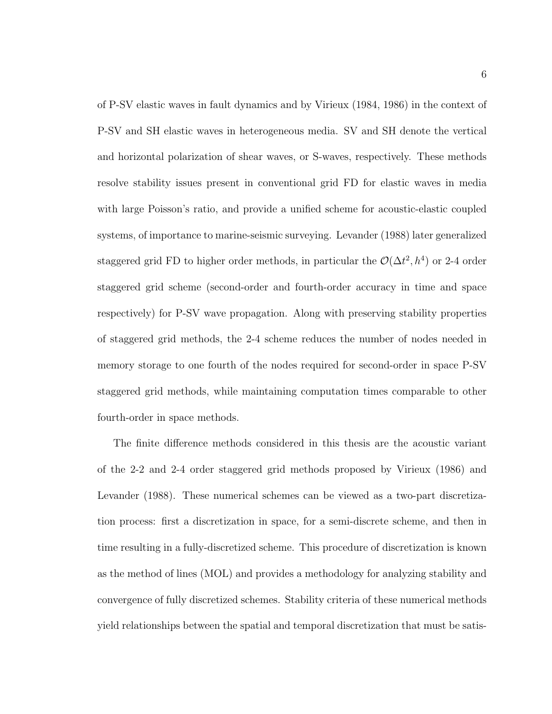of P-SV elastic waves in fault dynamics and by Virieux (1984, 1986) in the context of P-SV and SH elastic waves in heterogeneous media. SV and SH denote the vertical and horizontal polarization of shear waves, or S-waves, respectively. These methods resolve stability issues present in conventional grid FD for elastic waves in media with large Poisson's ratio, and provide a unified scheme for acoustic-elastic coupled systems, of importance to marine-seismic surveying. Levander (1988) later generalized staggered grid FD to higher order methods, in particular the  $\mathcal{O}(\Delta t^2, h^4)$  or 2-4 order staggered grid scheme (second-order and fourth-order accuracy in time and space respectively) for P-SV wave propagation. Along with preserving stability properties of staggered grid methods, the 2-4 scheme reduces the number of nodes needed in memory storage to one fourth of the nodes required for second-order in space P-SV staggered grid methods, while maintaining computation times comparable to other fourth-order in space methods.

The finite difference methods considered in this thesis are the acoustic variant of the 2-2 and 2-4 order staggered grid methods proposed by Virieux (1986) and Levander (1988). These numerical schemes can be viewed as a two-part discretization process: first a discretization in space, for a semi-discrete scheme, and then in time resulting in a fully-discretized scheme. This procedure of discretization is known as the method of lines (MOL) and provides a methodology for analyzing stability and convergence of fully discretized schemes. Stability criteria of these numerical methods yield relationships between the spatial and temporal discretization that must be satis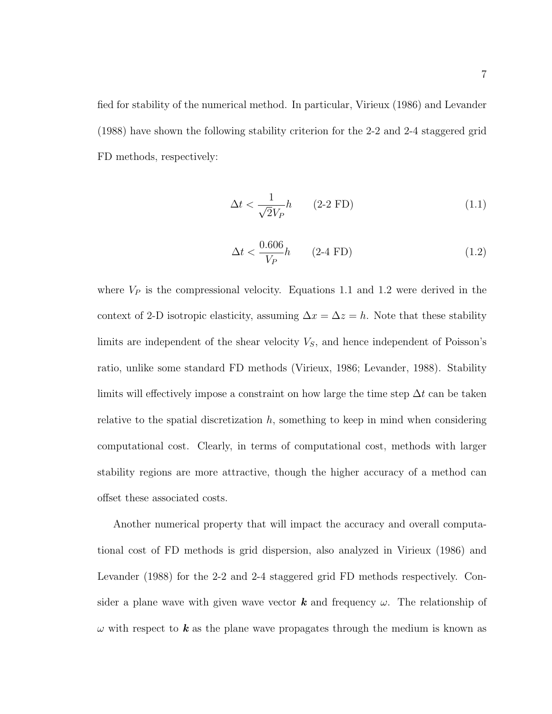fied for stability of the numerical method. In particular, Virieux (1986) and Levander (1988) have shown the following stability criterion for the 2-2 and 2-4 staggered grid FD methods, respectively:

$$
\Delta t < \frac{1}{\sqrt{2}V_P}h \qquad \text{(2-2 FD)}\tag{1.1}
$$

$$
\Delta t < \frac{0.606}{V_P} h \qquad (2-4 \text{ FD}) \tag{1.2}
$$

where  $V_P$  is the compressional velocity. Equations 1.1 and 1.2 were derived in the context of 2-D isotropic elasticity, assuming  $\Delta x = \Delta z = h$ . Note that these stability limits are independent of the shear velocity  $V_s$ , and hence independent of Poisson's ratio, unlike some standard FD methods (Virieux, 1986; Levander, 1988). Stability limits will effectively impose a constraint on how large the time step  $\Delta t$  can be taken relative to the spatial discretization  $h$ , something to keep in mind when considering computational cost. Clearly, in terms of computational cost, methods with larger stability regions are more attractive, though the higher accuracy of a method can offset these associated costs.

Another numerical property that will impact the accuracy and overall computational cost of FD methods is grid dispersion, also analyzed in Virieux (1986) and Levander (1988) for the 2-2 and 2-4 staggered grid FD methods respectively. Consider a plane wave with given wave vector **k** and frequency  $\omega$ . The relationship of  $\omega$  with respect to **k** as the plane wave propagates through the medium is known as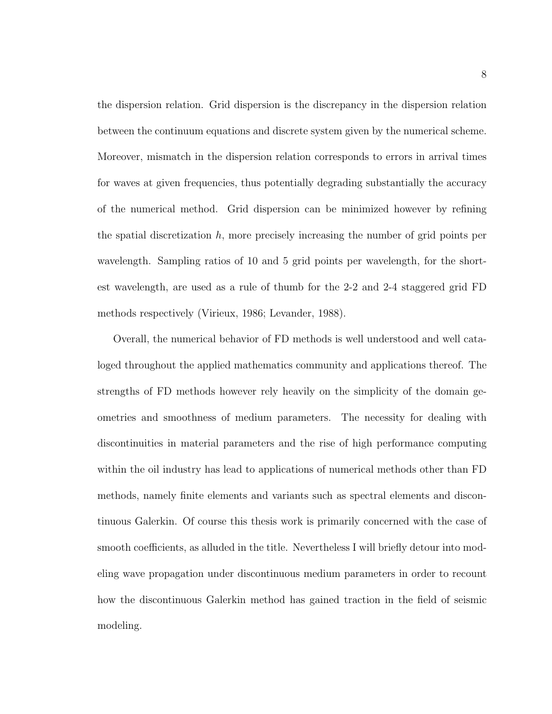the dispersion relation. Grid dispersion is the discrepancy in the dispersion relation between the continuum equations and discrete system given by the numerical scheme. Moreover, mismatch in the dispersion relation corresponds to errors in arrival times for waves at given frequencies, thus potentially degrading substantially the accuracy of the numerical method. Grid dispersion can be minimized however by refining the spatial discretization  $h$ , more precisely increasing the number of grid points per wavelength. Sampling ratios of 10 and 5 grid points per wavelength, for the shortest wavelength, are used as a rule of thumb for the 2-2 and 2-4 staggered grid FD methods respectively (Virieux, 1986; Levander, 1988).

Overall, the numerical behavior of FD methods is well understood and well cataloged throughout the applied mathematics community and applications thereof. The strengths of FD methods however rely heavily on the simplicity of the domain geometries and smoothness of medium parameters. The necessity for dealing with discontinuities in material parameters and the rise of high performance computing within the oil industry has lead to applications of numerical methods other than FD methods, namely finite elements and variants such as spectral elements and discontinuous Galerkin. Of course this thesis work is primarily concerned with the case of smooth coefficients, as alluded in the title. Nevertheless I will briefly detour into modeling wave propagation under discontinuous medium parameters in order to recount how the discontinuous Galerkin method has gained traction in the field of seismic modeling.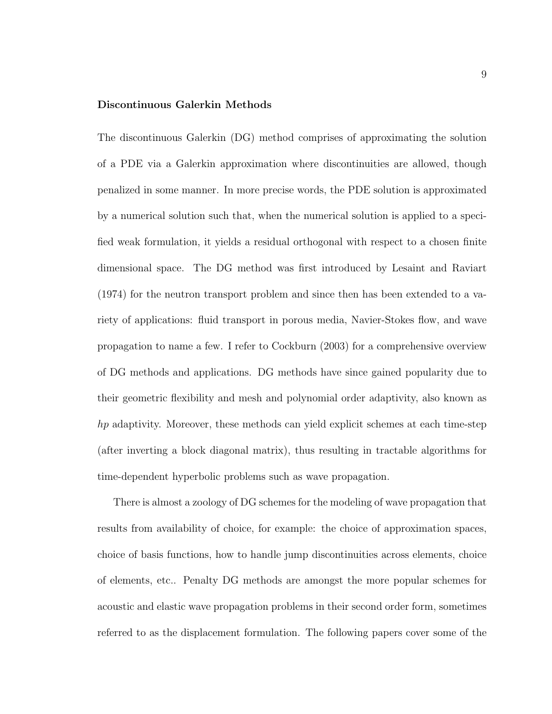#### Discontinuous Galerkin Methods

The discontinuous Galerkin (DG) method comprises of approximating the solution of a PDE via a Galerkin approximation where discontinuities are allowed, though penalized in some manner. In more precise words, the PDE solution is approximated by a numerical solution such that, when the numerical solution is applied to a specified weak formulation, it yields a residual orthogonal with respect to a chosen finite dimensional space. The DG method was first introduced by Lesaint and Raviart (1974) for the neutron transport problem and since then has been extended to a variety of applications: fluid transport in porous media, Navier-Stokes flow, and wave propagation to name a few. I refer to Cockburn (2003) for a comprehensive overview of DG methods and applications. DG methods have since gained popularity due to their geometric flexibility and mesh and polynomial order adaptivity, also known as hp adaptivity. Moreover, these methods can yield explicit schemes at each time-step (after inverting a block diagonal matrix), thus resulting in tractable algorithms for time-dependent hyperbolic problems such as wave propagation.

There is almost a zoology of DG schemes for the modeling of wave propagation that results from availability of choice, for example: the choice of approximation spaces, choice of basis functions, how to handle jump discontinuities across elements, choice of elements, etc.. Penalty DG methods are amongst the more popular schemes for acoustic and elastic wave propagation problems in their second order form, sometimes referred to as the displacement formulation. The following papers cover some of the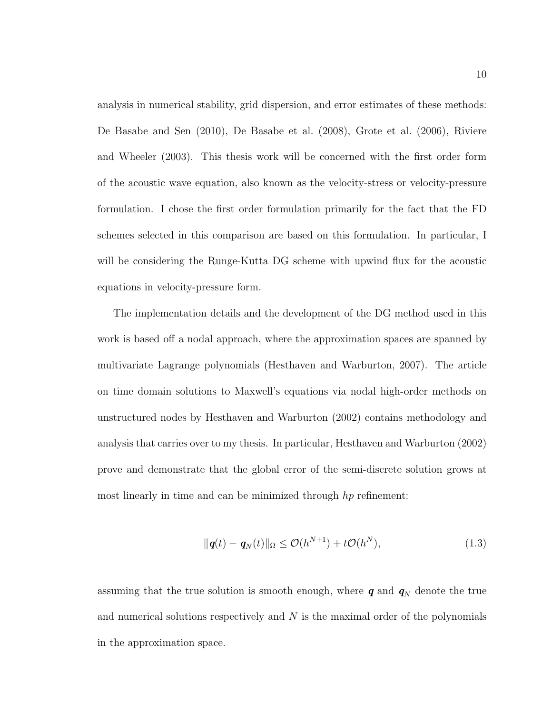analysis in numerical stability, grid dispersion, and error estimates of these methods: De Basabe and Sen (2010), De Basabe et al. (2008), Grote et al. (2006), Riviere and Wheeler (2003). This thesis work will be concerned with the first order form of the acoustic wave equation, also known as the velocity-stress or velocity-pressure formulation. I chose the first order formulation primarily for the fact that the FD schemes selected in this comparison are based on this formulation. In particular, I will be considering the Runge-Kutta DG scheme with upwind flux for the acoustic equations in velocity-pressure form.

The implementation details and the development of the DG method used in this work is based off a nodal approach, where the approximation spaces are spanned by multivariate Lagrange polynomials (Hesthaven and Warburton, 2007). The article on time domain solutions to Maxwell's equations via nodal high-order methods on unstructured nodes by Hesthaven and Warburton (2002) contains methodology and analysis that carries over to my thesis. In particular, Hesthaven and Warburton (2002) prove and demonstrate that the global error of the semi-discrete solution grows at most linearly in time and can be minimized through hp refinement:

$$
\|\mathbf{q}(t) - \mathbf{q}_N(t)\|_{\Omega} \le \mathcal{O}(h^{N+1}) + t\mathcal{O}(h^N),\tag{1.3}
$$

assuming that the true solution is smooth enough, where  $q$  and  $q_N$  denote the true and numerical solutions respectively and  $N$  is the maximal order of the polynomials in the approximation space.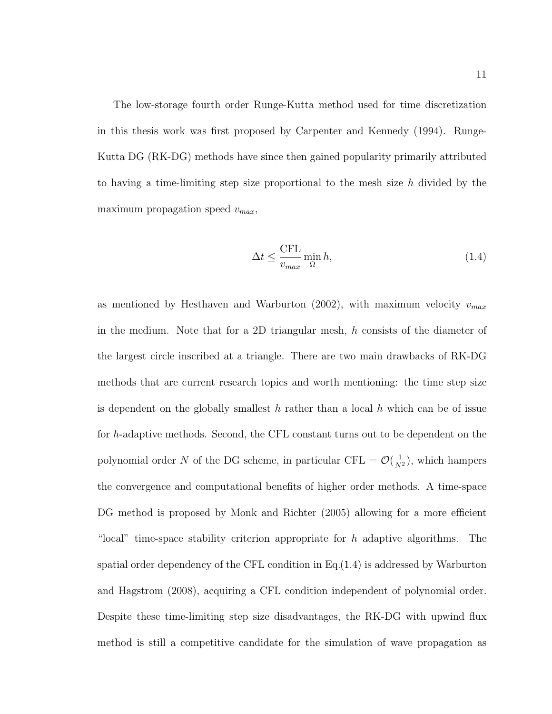The low-storage fourth order Runge-Kutta method used for time discretization in this thesis work was first proposed by Carpenter and Kennedy (1994). Runge-Kutta DG (RK-DG) methods have since then gained popularity primarily attributed to having a time-limiting step size proportional to the mesh size h divided by the maximum propagation speed  $v_{max}$ ,

$$
\Delta t \le \frac{\text{CFL}}{v_{max}} \min_{\Omega} h,\tag{1.4}
$$

as mentioned by Hesthaven and Warburton (2002), with maximum velocity  $v_{max}$ in the medium. Note that for a 2D triangular mesh, h consists of the diameter of the largest circle inscribed at a triangle. There are two main drawbacks of RK-DG methods that are current research topics and worth mentioning: the time step size is dependent on the globally smallest h rather than a local h which can be of issue for h-adaptive methods. Second, the CFL constant turns out to be dependent on the polynomial order N of the DG scheme, in particular CFL =  $\mathcal{O}(\frac{1}{N^2})$ , which hampers the convergence and computational benefits of higher order methods. A time-space DG method is proposed by Monk and Richter (2005) allowing for a more efficient "local" time-space stability criterion appropriate for  $h$  adaptive algorithms. The spatial order dependency of the CFL condition in Eq.(1.4) is addressed by Warburton and Hagstrom (2008), acquiring a CFL condition independent of polynomial order. Despite these time-limiting step size disadvantages, the RK-DG with upwind flux method is still a competitive candidate for the simulation of wave propagation as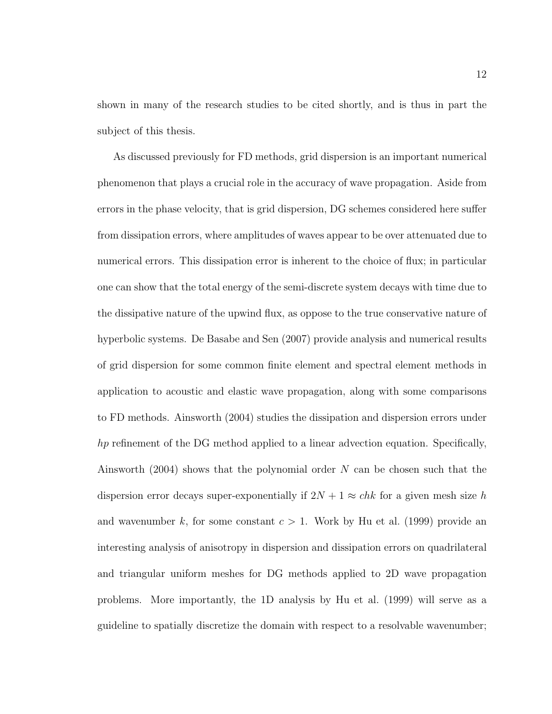shown in many of the research studies to be cited shortly, and is thus in part the subject of this thesis.

As discussed previously for FD methods, grid dispersion is an important numerical phenomenon that plays a crucial role in the accuracy of wave propagation. Aside from errors in the phase velocity, that is grid dispersion, DG schemes considered here suffer from dissipation errors, where amplitudes of waves appear to be over attenuated due to numerical errors. This dissipation error is inherent to the choice of flux; in particular one can show that the total energy of the semi-discrete system decays with time due to the dissipative nature of the upwind flux, as oppose to the true conservative nature of hyperbolic systems. De Basabe and Sen (2007) provide analysis and numerical results of grid dispersion for some common finite element and spectral element methods in application to acoustic and elastic wave propagation, along with some comparisons to FD methods. Ainsworth (2004) studies the dissipation and dispersion errors under hp refinement of the DG method applied to a linear advection equation. Specifically, Ainsworth (2004) shows that the polynomial order  $N$  can be chosen such that the dispersion error decays super-exponentially if  $2N + 1 \approx chk$  for a given mesh size h and wavenumber k, for some constant  $c > 1$ . Work by Hu et al. (1999) provide an interesting analysis of anisotropy in dispersion and dissipation errors on quadrilateral and triangular uniform meshes for DG methods applied to 2D wave propagation problems. More importantly, the 1D analysis by Hu et al. (1999) will serve as a guideline to spatially discretize the domain with respect to a resolvable wavenumber;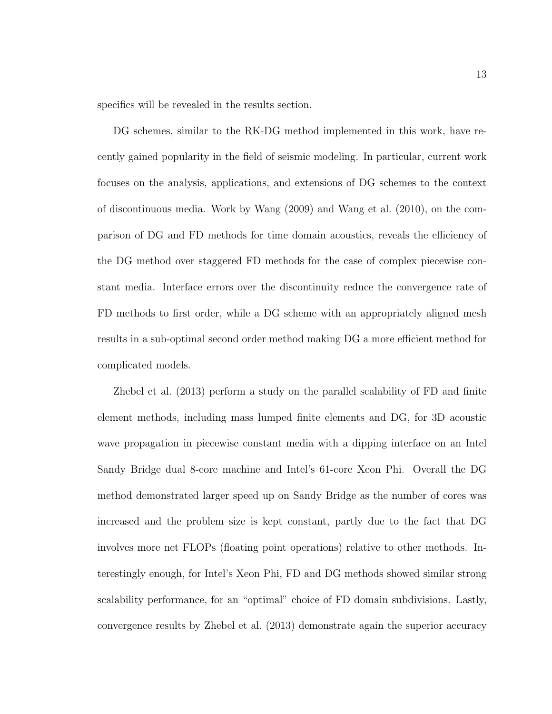specifics will be revealed in the results section.

DG schemes, similar to the RK-DG method implemented in this work, have recently gained popularity in the field of seismic modeling. In particular, current work focuses on the analysis, applications, and extensions of DG schemes to the context of discontinuous media. Work by Wang (2009) and Wang et al. (2010), on the comparison of DG and FD methods for time domain acoustics, reveals the efficiency of the DG method over staggered FD methods for the case of complex piecewise constant media. Interface errors over the discontinuity reduce the convergence rate of FD methods to first order, while a DG scheme with an appropriately aligned mesh results in a sub-optimal second order method making DG a more efficient method for complicated models.

Zhebel et al. (2013) perform a study on the parallel scalability of FD and finite element methods, including mass lumped finite elements and DG, for 3D acoustic wave propagation in piecewise constant media with a dipping interface on an Intel Sandy Bridge dual 8-core machine and Intel's 61-core Xeon Phi. Overall the DG method demonstrated larger speed up on Sandy Bridge as the number of cores was increased and the problem size is kept constant, partly due to the fact that DG involves more net FLOPs (floating point operations) relative to other methods. Interestingly enough, for Intel's Xeon Phi, FD and DG methods showed similar strong scalability performance, for an "optimal" choice of FD domain subdivisions. Lastly, convergence results by Zhebel et al. (2013) demonstrate again the superior accuracy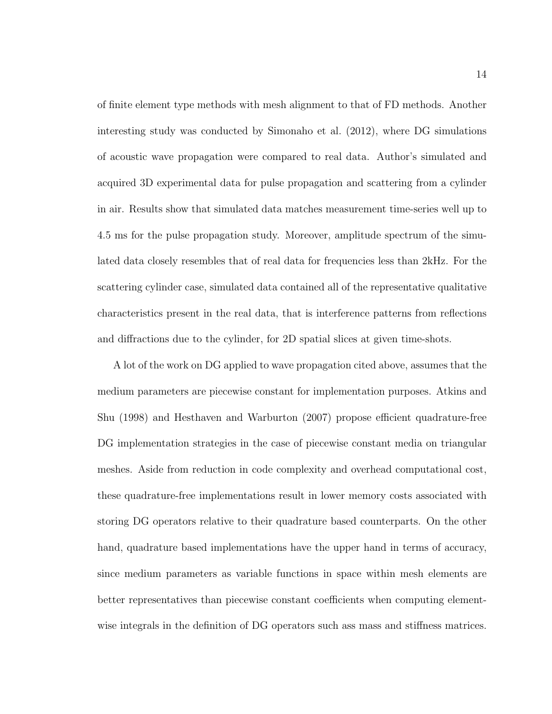of finite element type methods with mesh alignment to that of FD methods. Another interesting study was conducted by Simonaho et al. (2012), where DG simulations of acoustic wave propagation were compared to real data. Author's simulated and acquired 3D experimental data for pulse propagation and scattering from a cylinder in air. Results show that simulated data matches measurement time-series well up to 4.5 ms for the pulse propagation study. Moreover, amplitude spectrum of the simulated data closely resembles that of real data for frequencies less than 2kHz. For the scattering cylinder case, simulated data contained all of the representative qualitative characteristics present in the real data, that is interference patterns from reflections and diffractions due to the cylinder, for 2D spatial slices at given time-shots.

A lot of the work on DG applied to wave propagation cited above, assumes that the medium parameters are piecewise constant for implementation purposes. Atkins and Shu (1998) and Hesthaven and Warburton (2007) propose efficient quadrature-free DG implementation strategies in the case of piecewise constant media on triangular meshes. Aside from reduction in code complexity and overhead computational cost, these quadrature-free implementations result in lower memory costs associated with storing DG operators relative to their quadrature based counterparts. On the other hand, quadrature based implementations have the upper hand in terms of accuracy, since medium parameters as variable functions in space within mesh elements are better representatives than piecewise constant coefficients when computing elementwise integrals in the definition of DG operators such ass mass and stiffness matrices.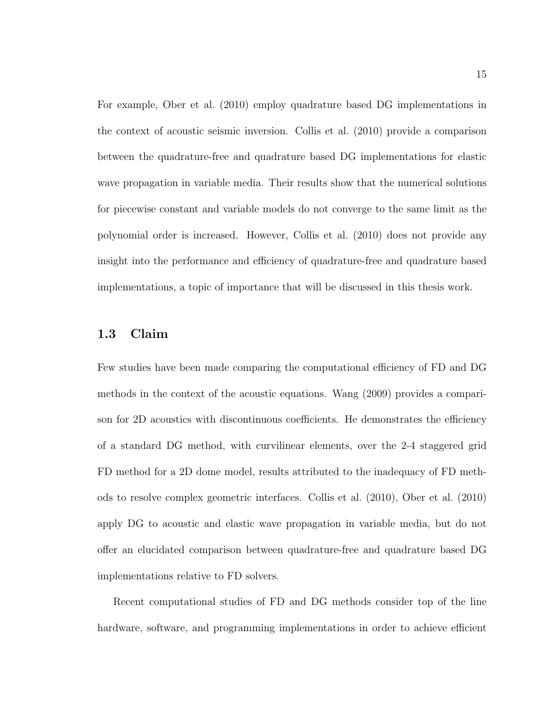For example, Ober et al. (2010) employ quadrature based DG implementations in the context of acoustic seismic inversion. Collis et al. (2010) provide a comparison between the quadrature-free and quadrature based DG implementations for elastic wave propagation in variable media. Their results show that the numerical solutions for piecewise constant and variable models do not converge to the same limit as the polynomial order is increased. However, Collis et al. (2010) does not provide any insight into the performance and efficiency of quadrature-free and quadrature based implementations, a topic of importance that will be discussed in this thesis work.

#### 1.3 Claim

Few studies have been made comparing the computational efficiency of FD and DG methods in the context of the acoustic equations. Wang (2009) provides a comparison for 2D acoustics with discontinuous coefficients. He demonstrates the efficiency of a standard DG method, with curvilinear elements, over the 2-4 staggered grid FD method for a 2D dome model, results attributed to the inadequacy of FD methods to resolve complex geometric interfaces. Collis et al. (2010), Ober et al. (2010) apply DG to acoustic and elastic wave propagation in variable media, but do not offer an elucidated comparison between quadrature-free and quadrature based DG implementations relative to FD solvers.

Recent computational studies of FD and DG methods consider top of the line hardware, software, and programming implementations in order to achieve efficient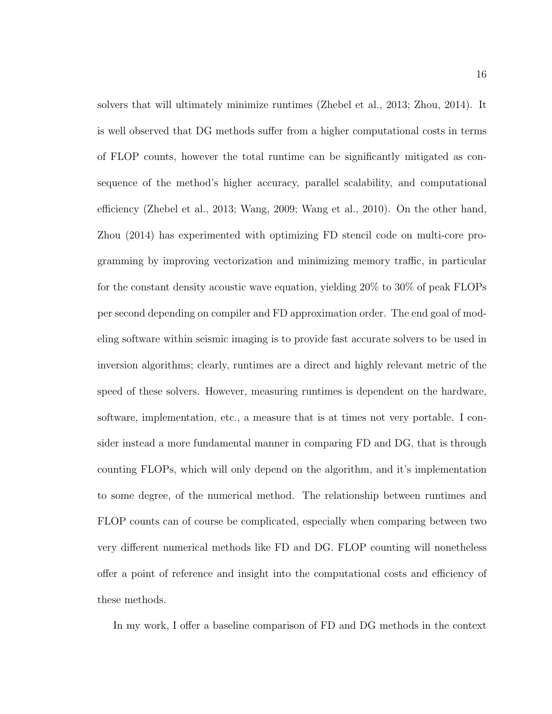solvers that will ultimately minimize runtimes (Zhebel et al., 2013; Zhou, 2014). It is well observed that DG methods suffer from a higher computational costs in terms of FLOP counts, however the total runtime can be significantly mitigated as consequence of the method's higher accuracy, parallel scalability, and computational efficiency (Zhebel et al., 2013; Wang, 2009; Wang et al., 2010). On the other hand, Zhou (2014) has experimented with optimizing FD stencil code on multi-core programming by improving vectorization and minimizing memory traffic, in particular for the constant density acoustic wave equation, yielding 20% to 30% of peak FLOPs per second depending on compiler and FD approximation order. The end goal of modeling software within seismic imaging is to provide fast accurate solvers to be used in inversion algorithms; clearly, runtimes are a direct and highly relevant metric of the speed of these solvers. However, measuring runtimes is dependent on the hardware, software, implementation, etc., a measure that is at times not very portable. I consider instead a more fundamental manner in comparing FD and DG, that is through counting FLOPs, which will only depend on the algorithm, and it's implementation to some degree, of the numerical method. The relationship between runtimes and FLOP counts can of course be complicated, especially when comparing between two very different numerical methods like FD and DG. FLOP counting will nonetheless offer a point of reference and insight into the computational costs and efficiency of these methods.

In my work, I offer a baseline comparison of FD and DG methods in the context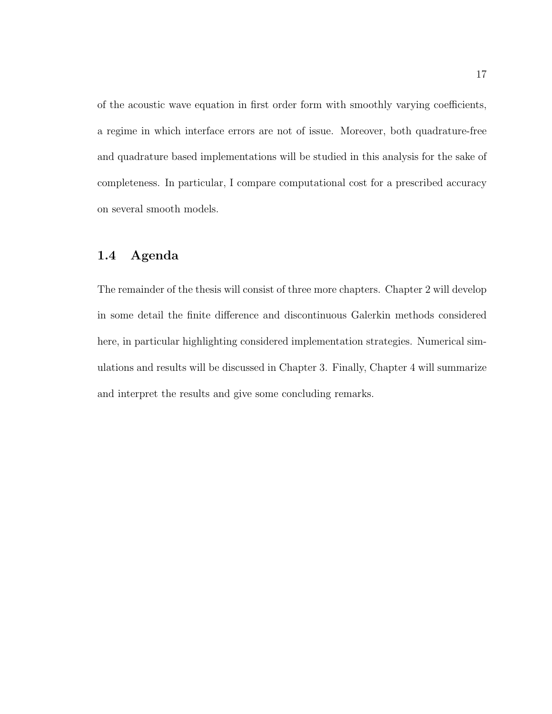of the acoustic wave equation in first order form with smoothly varying coefficients, a regime in which interface errors are not of issue. Moreover, both quadrature-free and quadrature based implementations will be studied in this analysis for the sake of completeness. In particular, I compare computational cost for a prescribed accuracy on several smooth models.

## 1.4 Agenda

The remainder of the thesis will consist of three more chapters. Chapter 2 will develop in some detail the finite difference and discontinuous Galerkin methods considered here, in particular highlighting considered implementation strategies. Numerical simulations and results will be discussed in Chapter 3. Finally, Chapter 4 will summarize and interpret the results and give some concluding remarks.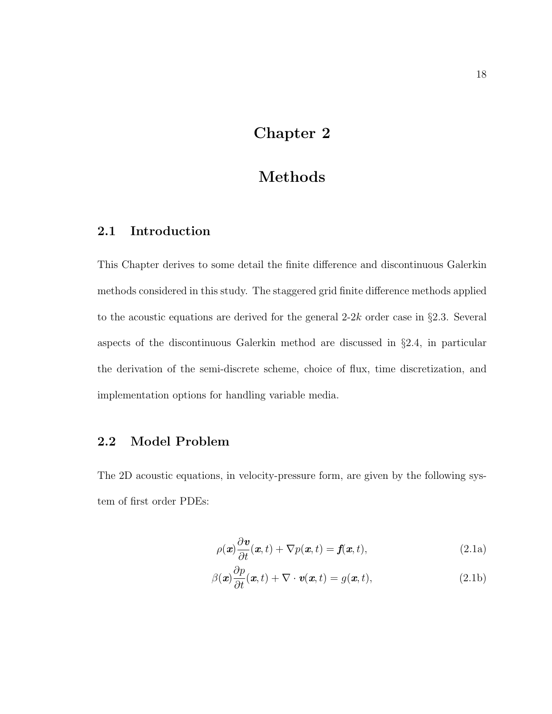## Chapter 2

## Methods

## 2.1 Introduction

This Chapter derives to some detail the finite difference and discontinuous Galerkin methods considered in this study. The staggered grid finite difference methods applied to the acoustic equations are derived for the general  $2-2k$  order case in §2.3. Several aspects of the discontinuous Galerkin method are discussed in §2.4, in particular the derivation of the semi-discrete scheme, choice of flux, time discretization, and implementation options for handling variable media.

## 2.2 Model Problem

The 2D acoustic equations, in velocity-pressure form, are given by the following system of first order PDEs:

$$
\rho(\boldsymbol{x})\frac{\partial \boldsymbol{v}}{\partial t}(\boldsymbol{x},t) + \nabla p(\boldsymbol{x},t) = \boldsymbol{f}(\boldsymbol{x},t),
$$
\n(2.1a)

$$
\beta(\boldsymbol{x})\frac{\partial p}{\partial t}(\boldsymbol{x},t) + \nabla \cdot \boldsymbol{v}(\boldsymbol{x},t) = g(\boldsymbol{x},t),
$$
\n(2.1b)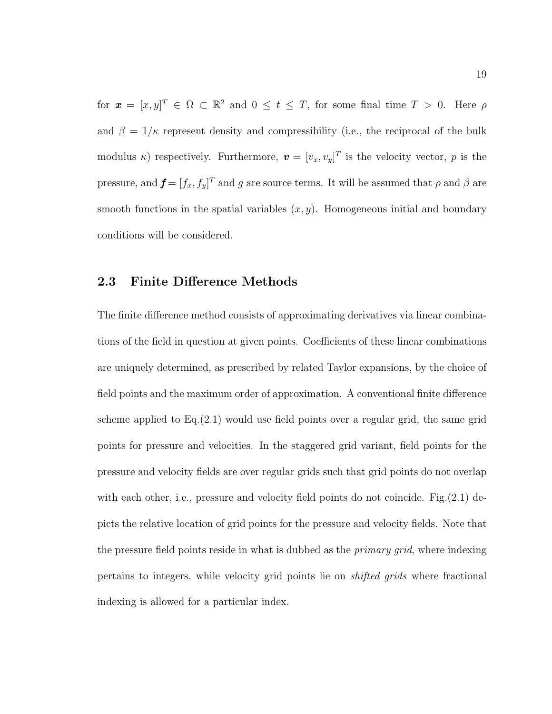for  $\mathbf{x} = [x, y]^T \in \Omega \subset \mathbb{R}^2$  and  $0 \le t \le T$ , for some final time  $T > 0$ . Here  $\rho$ and  $\beta = 1/\kappa$  represent density and compressibility (i.e., the reciprocal of the bulk modulus  $\kappa$ ) respectively. Furthermore,  $\mathbf{v} = [v_x, v_y]^T$  is the velocity vector, p is the pressure, and  $f = [f_x, f_y]^T$  and g are source terms. It will be assumed that  $\rho$  and  $\beta$  are smooth functions in the spatial variables  $(x, y)$ . Homogeneous initial and boundary conditions will be considered.

#### 2.3 Finite Difference Methods

The finite difference method consists of approximating derivatives via linear combinations of the field in question at given points. Coefficients of these linear combinations are uniquely determined, as prescribed by related Taylor expansions, by the choice of field points and the maximum order of approximation. A conventional finite difference scheme applied to  $Eq. (2.1)$  would use field points over a regular grid, the same grid points for pressure and velocities. In the staggered grid variant, field points for the pressure and velocity fields are over regular grids such that grid points do not overlap with each other, i.e., pressure and velocity field points do not coincide. Fig.  $(2.1)$  depicts the relative location of grid points for the pressure and velocity fields. Note that the pressure field points reside in what is dubbed as the *primary grid*, where indexing pertains to integers, while velocity grid points lie on shifted grids where fractional indexing is allowed for a particular index.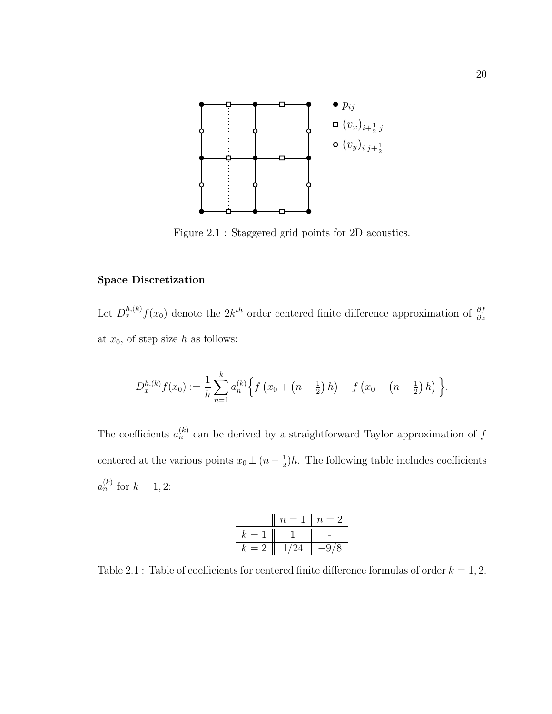

Figure 2.1 : Staggered grid points for 2D acoustics.

#### Space Discretization

Let  $D_x^{h,(k)}f(x_0)$  denote the  $2k^{th}$  order centered finite difference approximation of  $\frac{\partial f}{\partial x}$ at  $x_0$ , of step size h as follows:

$$
D_x^{h,(k)}f(x_0) := \frac{1}{h}\sum_{n=1}^k a_n^{(k)} \Big\{ f\left(x_0 + \left(n-\frac{1}{2}\right)h\right) - f\left(x_0 - \left(n-\frac{1}{2}\right)h\right) \Big\}.
$$

The coefficients  $a_n^{(k)}$  can be derived by a straightforward Taylor approximation of f centered at the various points  $x_0 \pm (n - \frac{1}{2})$  $\frac{1}{2}$ )*h*. The following table includes coefficients  $a_n^{(k)}$  for  $k = 1, 2$ :

$$
\begin{array}{c|c|c|c|c|c|c} & n = 1 & n = 2 \\ \hline k = 1 & 1 & - \\ \hline k = 2 & 1/24 & -9/8 \\ \end{array}
$$

Table 2.1 : Table of coefficients for centered finite difference formulas of order  $k = 1, 2$ .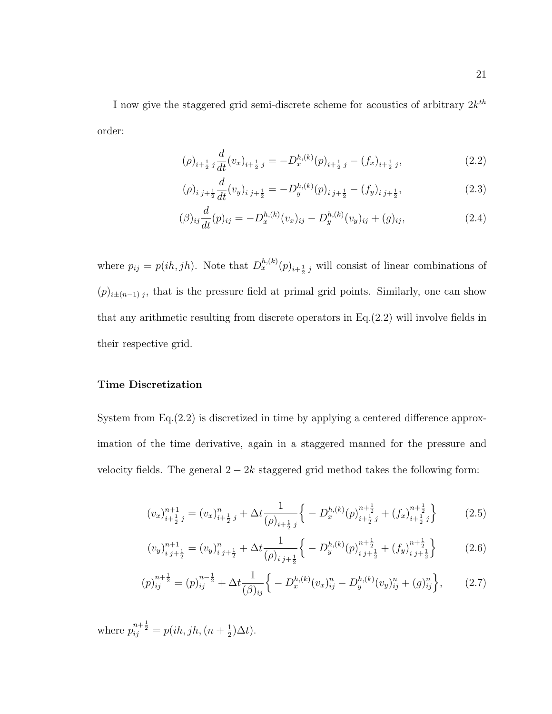I now give the staggered grid semi-discrete scheme for acoustics of arbitrary  $2k^{th}$ order:

$$
(\rho)_{i+\frac{1}{2}} \, j\frac{d}{dt} (v_x)_{i+\frac{1}{2}} \, j = -D_x^{h,(k)}(p)_{i+\frac{1}{2}} \, j - (f_x)_{i+\frac{1}{2}} \, j,\tag{2.2}
$$

$$
(\rho)_{i j+\frac{1}{2}} \frac{d}{dt} (v_y)_{i j+\frac{1}{2}} = -D_y^{h,(k)}(p)_{i j+\frac{1}{2}} - (f_y)_{i j+\frac{1}{2}}, \qquad (2.3)
$$

$$
(\beta)_{ij}\frac{d}{dt}(p)_{ij} = -D_x^{h,(k)}(v_x)_{ij} - D_y^{h,(k)}(v_y)_{ij} + (g)_{ij},
$$
\n(2.4)

where  $p_{ij} = p(ih, jh)$ . Note that  $D_x^{h,(k)}(p)_{i+\frac{1}{2}j}$  will consist of linear combinations of  $(p)_{i\pm(n-1)j}$ , that is the pressure field at primal grid points. Similarly, one can show that any arithmetic resulting from discrete operators in Eq.(2.2) will involve fields in their respective grid.

#### Time Discretization

System from Eq.(2.2) is discretized in time by applying a centered difference approximation of the time derivative, again in a staggered manned for the pressure and velocity fields. The general  $2 - 2k$  staggered grid method takes the following form:

$$
(v_x)_{i+\frac{1}{2}j}^{n+1} = (v_x)_{i+\frac{1}{2}j}^n + \Delta t \frac{1}{(\rho)_{i+\frac{1}{2}j}} \left\{ -D_x^{h,(k)}(p)_{i+\frac{1}{2}j}^{n+\frac{1}{2}} + (f_x)_{i+\frac{1}{2}j}^{n+\frac{1}{2}} \right\}
$$
(2.5)

$$
(v_y)_{i\ j+\frac{1}{2}}^{n+1} = (v_y)_{i\ j+\frac{1}{2}}^n + \Delta t \frac{1}{(\rho)_{i\ j+\frac{1}{2}}} \left\{ -D_y^{h,(k)}(p)_{i\ j+\frac{1}{2}}^{n+\frac{1}{2}} + (f_y)_{i\ j+\frac{1}{2}}^{n+\frac{1}{2}} \right\}
$$
(2.6)

$$
(p)_{ij}^{n+\frac{1}{2}} = (p)_{ij}^{n-\frac{1}{2}} + \Delta t \frac{1}{(\beta)_{ij}} \Big\{ -D_x^{h,(k)} (v_x)_{ij}^n - D_y^{h,(k)} (v_y)_{ij}^n + (g)_{ij}^n \Big\}, \qquad (2.7)
$$

where  $p_{ij}^{n+\frac{1}{2}} = p(ih, jh, (n + \frac{1}{2})$  $(\frac{1}{2})\Delta t$ .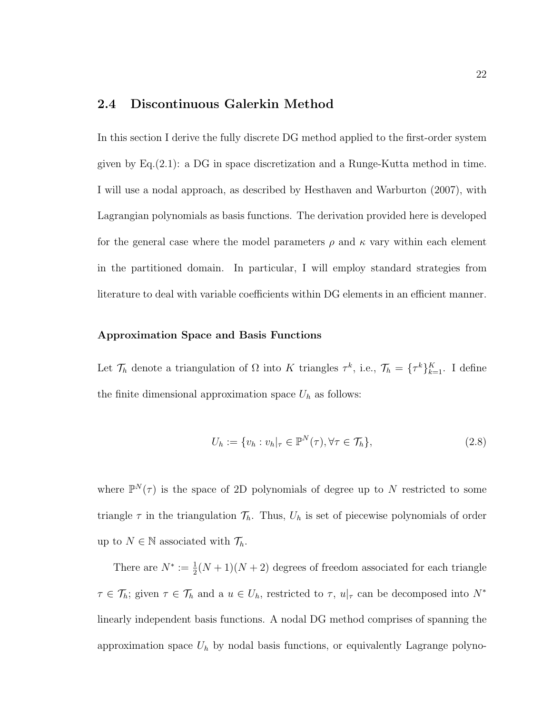### 2.4 Discontinuous Galerkin Method

In this section I derive the fully discrete DG method applied to the first-order system given by Eq.(2.1): a DG in space discretization and a Runge-Kutta method in time. I will use a nodal approach, as described by Hesthaven and Warburton (2007), with Lagrangian polynomials as basis functions. The derivation provided here is developed for the general case where the model parameters  $\rho$  and  $\kappa$  vary within each element in the partitioned domain. In particular, I will employ standard strategies from literature to deal with variable coefficients within DG elements in an efficient manner.

#### Approximation Space and Basis Functions

Let  $\mathcal{T}_h$  denote a triangulation of  $\Omega$  into K triangles  $\tau^k$ , i.e.,  $\mathcal{T}_h = {\{\tau^k\}}_{k=1}^K$ . I define the finite dimensional approximation space  $U_h$  as follows:

$$
U_h := \{ v_h : v_h|_{\tau} \in \mathbb{P}^N(\tau), \forall \tau \in \mathcal{T}_h \},\tag{2.8}
$$

where  $\mathbb{P}^N(\tau)$  is the space of 2D polynomials of degree up to N restricted to some triangle  $\tau$  in the triangulation  $\mathcal{T}_h$ . Thus,  $U_h$  is set of piecewise polynomials of order up to  $N \in \mathbb{N}$  associated with  $\mathcal{T}_h$ .

There are  $N^* := \frac{1}{2}(N+1)(N+2)$  degrees of freedom associated for each triangle  $\tau \in \mathcal{T}_h$ ; given  $\tau \in \mathcal{T}_h$  and a  $u \in U_h$ , restricted to  $\tau$ ,  $u|_{\tau}$  can be decomposed into  $N^*$ linearly independent basis functions. A nodal DG method comprises of spanning the approximation space  $U_h$  by nodal basis functions, or equivalently Lagrange polyno-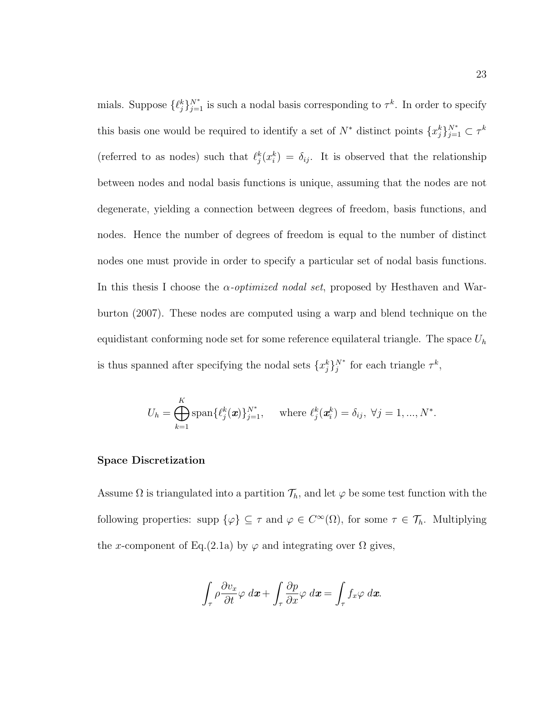mials. Suppose  $\{\ell_j^k\}_{j=1}^{N^*}$  is such a nodal basis corresponding to  $\tau^k$ . In order to specify this basis one would be required to identify a set of  $N^*$  distinct points  $\{x_j^k\}_{j=1}^{N^*} \subset \tau^k$ (referred to as nodes) such that  $\ell_j^k(x_i^k) = \delta_{ij}$ . It is observed that the relationship between nodes and nodal basis functions is unique, assuming that the nodes are not degenerate, yielding a connection between degrees of freedom, basis functions, and nodes. Hence the number of degrees of freedom is equal to the number of distinct nodes one must provide in order to specify a particular set of nodal basis functions. In this thesis I choose the  $\alpha$ -*optimized nodal set*, proposed by Hesthaven and Warburton (2007). These nodes are computed using a warp and blend technique on the equidistant conforming node set for some reference equilateral triangle. The space  $U_h$ is thus spanned after specifying the nodal sets  $\{x_j^k\}_j^{N^*}$  for each triangle  $\tau^k$ ,

$$
U_h = \bigoplus_{k=1}^K \text{span}\{\ell_j^k(\boldsymbol{x})\}_{j=1}^{N^*}, \quad \text{where } \ell_j^k(\boldsymbol{x}_i^k) = \delta_{ij}, \ \forall j = 1, ..., N^*.
$$

#### Space Discretization

Assume  $\Omega$  is triangulated into a partition  $\mathcal{T}_h$ , and let  $\varphi$  be some test function with the following properties: supp  $\{\varphi\} \subseteq \tau$  and  $\varphi \in C^{\infty}(\Omega)$ , for some  $\tau \in \mathcal{T}_h$ . Multiplying the x-component of Eq.(2.1a) by  $\varphi$  and integrating over  $\Omega$  gives,

$$
\int_{\tau} \rho \frac{\partial v_x}{\partial t} \varphi \, dx + \int_{\tau} \frac{\partial p}{\partial x} \varphi \, dx = \int_{\tau} f_x \varphi \, dx.
$$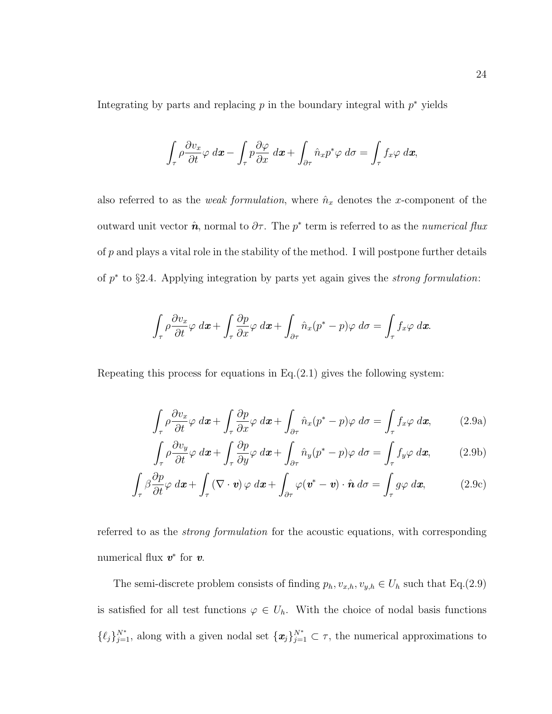Integrating by parts and replacing  $p$  in the boundary integral with  $p^*$  yields

$$
\int_{\tau} \rho \frac{\partial v_x}{\partial t} \varphi \, dx - \int_{\tau} p \frac{\partial \varphi}{\partial x} \, dx + \int_{\partial \tau} \hat{n}_x p^* \varphi \, d\sigma = \int_{\tau} f_x \varphi \, dx,
$$

also referred to as the *weak formulation*, where  $\hat{n}_x$  denotes the *x*-component of the outward unit vector  $\hat{n}$ , normal to  $\partial \tau$ . The  $p^*$  term is referred to as the *numerical flux* of  $p$  and plays a vital role in the stability of the method. I will postpone further details of  $p^*$  to §2.4. Applying integration by parts yet again gives the *strong formulation*:

$$
\int_{\tau} \rho \frac{\partial v_x}{\partial t} \varphi \, dx + \int_{\tau} \frac{\partial p}{\partial x} \varphi \, dx + \int_{\partial \tau} \hat{n}_x (p^* - p) \varphi \, d\sigma = \int_{\tau} f_x \varphi \, dx.
$$

Repeating this process for equations in Eq. $(2.1)$  gives the following system:

$$
\int_{\tau} \rho \frac{\partial v_x}{\partial t} \varphi \, dx + \int_{\tau} \frac{\partial p}{\partial x} \varphi \, dx + \int_{\partial \tau} \hat{n}_x (p^* - p) \varphi \, d\sigma = \int_{\tau} f_x \varphi \, dx, \tag{2.9a}
$$

$$
\int_{\tau} \rho \frac{\partial v_y}{\partial t} \varphi \, dx + \int_{\tau} \frac{\partial p}{\partial y} \varphi \, dx + \int_{\partial \tau} \hat{n}_y (p^* - p) \varphi \, d\sigma = \int_{\tau} f_y \varphi \, dx, \tag{2.9b}
$$

$$
\int_{\tau} \beta \frac{\partial p}{\partial t} \varphi \, dx + \int_{\tau} (\nabla \cdot \mathbf{v}) \varphi \, dx + \int_{\partial \tau} \varphi (\mathbf{v}^* - \mathbf{v}) \cdot \hat{\mathbf{n}} \, d\sigma = \int_{\tau} g \varphi \, dx, \tag{2.9c}
$$

referred to as the strong formulation for the acoustic equations, with corresponding numerical flux  $v^*$  for  $v$ .

The semi-discrete problem consists of finding  $p_h, v_{x,h}, v_{y,h} \in U_h$  such that Eq.(2.9) is satisfied for all test functions  $\varphi \in U_h$ . With the choice of nodal basis functions  $\{\ell_j\}_{j=1}^{N^*}$ , along with a given nodal set  $\{\boldsymbol{x}_j\}_{j=1}^{N^*} \subset \tau$ , the numerical approximations to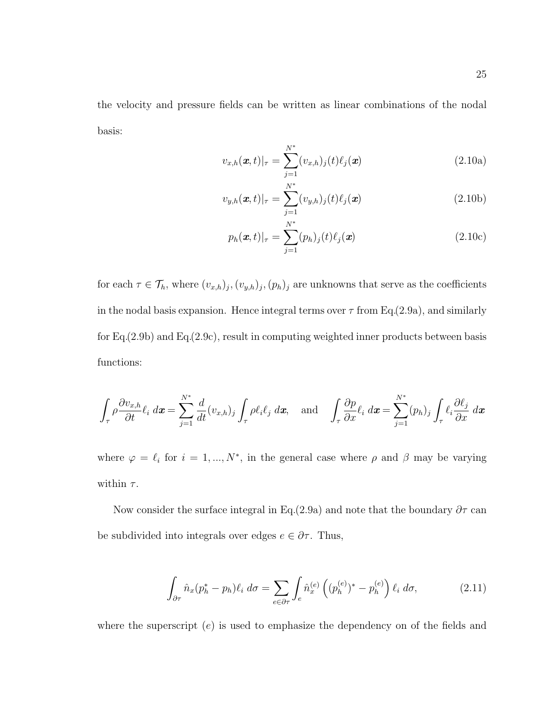the velocity and pressure fields can be written as linear combinations of the nodal basis:

$$
v_{x,h}(\boldsymbol{x},t)|_{\tau} = \sum_{j=1}^{N^*} (v_{x,h})_j(t) \ell_j(\boldsymbol{x})
$$
\n(2.10a)

$$
v_{y,h}(\boldsymbol{x},t)|_{\tau} = \sum_{j=1}^{N^*} (v_{y,h})_j(t) \ell_j(\boldsymbol{x})
$$
\n(2.10b)

$$
p_h(\boldsymbol{x},t)|_{\tau} = \sum_{j=1}^{N^*} (p_h)_j(t) \ell_j(\boldsymbol{x})
$$
\n(2.10c)

for each  $\tau \in \mathcal{T}_h$ , where  $(v_{x,h})_j$ ,  $(v_{y,h})_j$ ,  $(p_h)_j$  are unknowns that serve as the coefficients in the nodal basis expansion. Hence integral terms over  $\tau$  from Eq.(2.9a), and similarly for Eq.(2.9b) and Eq.(2.9c), result in computing weighted inner products between basis functions:

$$
\int_{\tau} \rho \frac{\partial v_{x,h}}{\partial t} \ell_i \, dx = \sum_{j=1}^{N^*} \frac{d}{dt} (v_{x,h})_j \int_{\tau} \rho \ell_i \ell_j \, dx, \quad \text{and} \quad \int_{\tau} \frac{\partial p}{\partial x} \ell_i \, dx = \sum_{j=1}^{N^*} (p_h)_j \int_{\tau} \ell_i \frac{\partial \ell_j}{\partial x} \, dx
$$

where  $\varphi = \ell_i$  for  $i = 1, ..., N^*$ , in the general case where  $\rho$  and  $\beta$  may be varying within  $\tau$ .

Now consider the surface integral in Eq.(2.9a) and note that the boundary  $\partial \tau$  can be subdivided into integrals over edges  $e \in \partial \tau$ . Thus,

$$
\int_{\partial \tau} \hat{n}_x (p_h^* - p_h) \ell_i \, d\sigma = \sum_{e \in \partial \tau} \int_e \hat{n}_x^{(e)} \left( (p_h^{(e)})^* - p_h^{(e)} \right) \ell_i \, d\sigma,\tag{2.11}
$$

where the superscript  $(e)$  is used to emphasize the dependency on of the fields and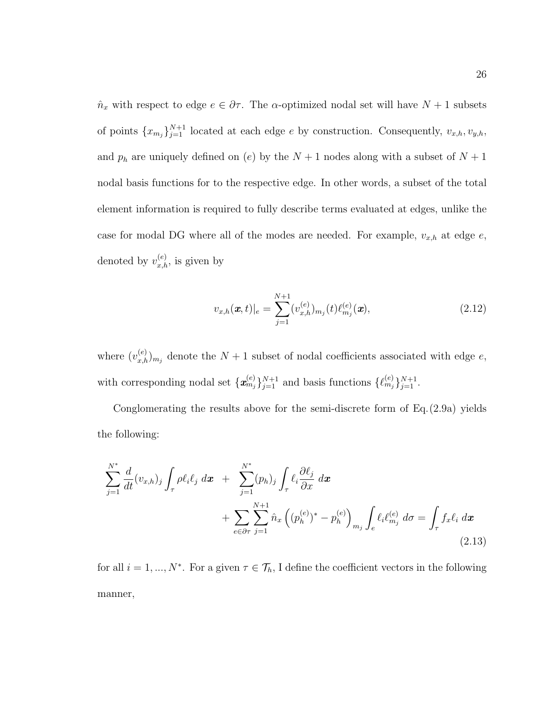$\hat{n}_x$  with respect to edge  $e \in \partial \tau$ . The  $\alpha$ -optimized nodal set will have  $N + 1$  subsets of points  $\{x_{m_j}\}_{j=1}^{N+1}$  located at each edge e by construction. Consequently,  $v_{x,h}, v_{y,h}$ , and  $p_h$  are uniquely defined on (e) by the  $N + 1$  nodes along with a subset of  $N + 1$ nodal basis functions for to the respective edge. In other words, a subset of the total element information is required to fully describe terms evaluated at edges, unlike the case for modal DG where all of the modes are needed. For example,  $v_{x,h}$  at edge  $e$ , denoted by  $v_{x,h}^{(e)}$ , is given by

$$
v_{x,h}(\boldsymbol{x},t)|_e = \sum_{j=1}^{N+1} (v_{x,h}^{(e)})_{m_j}(t) \ell_{m_j}^{(e)}(\boldsymbol{x}), \qquad (2.12)
$$

where  $(v_{x,h}^{(e)})_{m_j}$  denote the  $N+1$  subset of nodal coefficients associated with edge e, with corresponding nodal set  $\{\mathbf{x}_{m_j}^{(e)}\}_{j=1}^{N+1}$  and basis functions  $\{\ell_{m_j}^{(e)}\}_{j=1}^{N+1}$ .

Conglomerating the results above for the semi-discrete form of Eq.(2.9a) yields the following:

$$
\sum_{j=1}^{N^*} \frac{d}{dt} (v_{x,h})_j \int_{\tau} \rho \ell_i \ell_j \, dx + \sum_{j=1}^{N^*} (p_h)_j \int_{\tau} \ell_i \frac{\partial \ell_j}{\partial x} \, dx + \sum_{e \in \partial \tau} \sum_{j=1}^{N+1} \hat{n}_x \left( (p_h^{(e)})^* - p_h^{(e)} \right)_{m_j} \int_{e} \ell_i \ell_{m_j}^{(e)} \, d\sigma = \int_{\tau} f_x \ell_i \, d\mathbf{x}
$$
\n(2.13)

for all  $i = 1, ..., N^*$ . For a given  $\tau \in \mathcal{T}_h$ , I define the coefficient vectors in the following manner,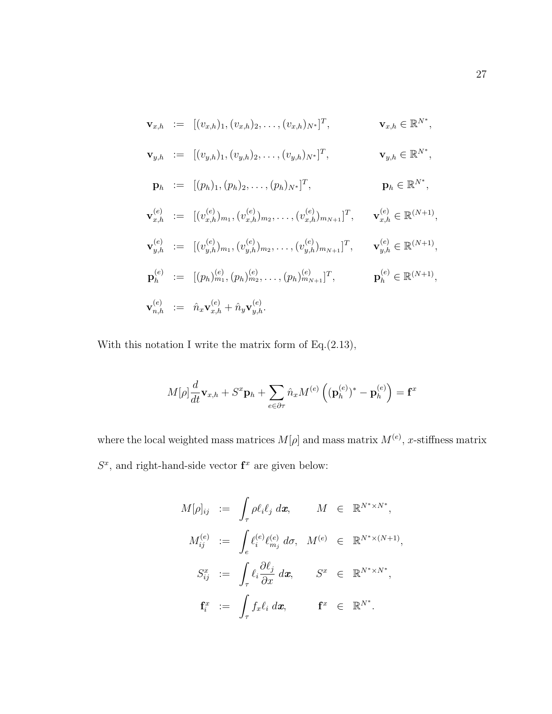$$
\mathbf{v}_{x,h} := [(v_{x,h})_1, (v_{x,h})_2, \dots, (v_{x,h})_{N^*}]^T, \qquad \mathbf{v}_{x,h} \in \mathbb{R}^{N^*},
$$
  
\n
$$
\mathbf{v}_{y,h} := [(v_{y,h})_1, (v_{y,h})_2, \dots, (v_{y,h})_{N^*}]^T, \qquad \mathbf{v}_{y,h} \in \mathbb{R}^{N^*},
$$
  
\n
$$
\mathbf{p}_h := [(p_h)_1, (p_h)_2, \dots, (p_h)_{N^*}]^T, \qquad \mathbf{p}_h \in \mathbb{R}^{N^*},
$$
  
\n
$$
\mathbf{v}_{x,h}^{(e)} := [(v_{x,h}^{(e)})_{m_1}, (v_{x,h}^{(e)})_{m_2}, \dots, (v_{x,h}^{(e)})_{m_{N+1}}]^T, \qquad \mathbf{v}_{x,h}^{(e)} \in \mathbb{R}^{(N+1)},
$$
  
\n
$$
\mathbf{v}_{y,h}^{(e)} := [(v_{y,h}^{(e)})_{m_1}, (v_{y,h}^{(e)})_{m_2}, \dots, (v_{y,h}^{(e)})_{m_{N+1}}]^T, \qquad \mathbf{v}_{y,h}^{(e)} \in \mathbb{R}^{(N+1)},
$$
  
\n
$$
\mathbf{p}_h^{(e)} := [p_h)_{m_1}^{(e)}, (p_h)_{m_2}^{(e)}, \dots, (p_h)_{m_{N+1}}^{(e)}]^T, \qquad \mathbf{p}_h^{(e)} \in \mathbb{R}^{(N+1)},
$$
  
\n
$$
\mathbf{v}_{n,h}^{(e)} := \hat{n}_x \mathbf{v}_{x,h}^{(e)} + \hat{n}_y \mathbf{v}_{y,h}^{(e)}.
$$

With this notation I write the matrix form of Eq.(2.13),

$$
M[\rho]\frac{d}{dt}\mathbf{v}_{x,h} + S^x \mathbf{p}_h + \sum_{e \in \partial \tau} \hat{n}_x M^{(e)} \left( (\mathbf{p}_h^{(e)})^* - \mathbf{p}_h^{(e)} \right) = \mathbf{f}^x
$$

where the local weighted mass matrices  $M[\rho]$  and mass matrix  $M^{(e)}$ , x-stiffness matrix  $S<sup>x</sup>$ , and right-hand-side vector  $f<sup>x</sup>$  are given below:

$$
M[\rho]_{ij} := \int_{\tau} \rho \ell_i \ell_j d\mathbf{x}, \qquad M \in \mathbb{R}^{N^* \times N^*},
$$
  

$$
M_{ij}^{(e)} := \int_{e} \ell_i^{(e)} \ell_{m_j}^{(e)} d\sigma, \quad M^{(e)} \in \mathbb{R}^{N^* \times (N+1)},
$$
  

$$
S_{ij}^x := \int_{\tau} \ell_i \frac{\partial \ell_j}{\partial x} d\mathbf{x}, \qquad S^x \in \mathbb{R}^{N^* \times N^*},
$$
  

$$
\mathbf{f}_i^x := \int_{\tau} f_x \ell_i d\mathbf{x}, \qquad \mathbf{f}^x \in \mathbb{R}^{N^*}.
$$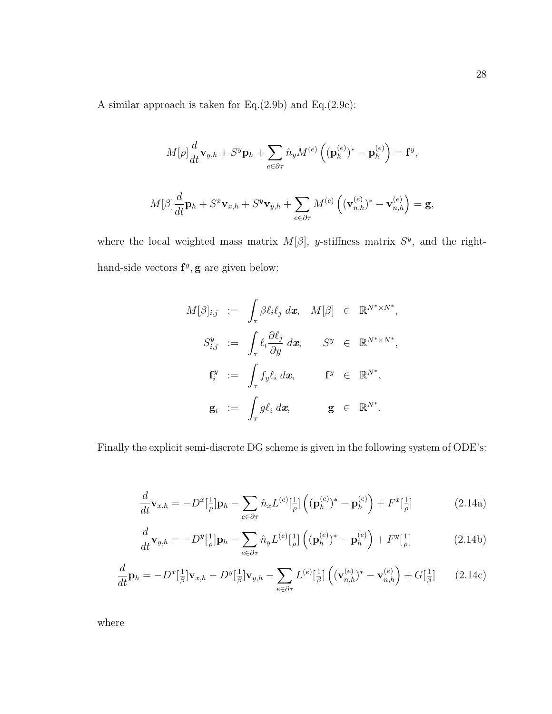A similar approach is taken for Eq.(2.9b) and Eq.(2.9c):

$$
M[\rho]\frac{d}{dt}\mathbf{v}_{y,h} + S^y \mathbf{p}_h + \sum_{e \in \partial \tau} \hat{n}_y M^{(e)} \left( (\mathbf{p}_h^{(e)})^* - \mathbf{p}_h^{(e)} \right) = \mathbf{f}^y,
$$
  

$$
M[\beta]\frac{d}{dt}\mathbf{p}_h + S^x \mathbf{v}_{x,h} + S^y \mathbf{v}_{y,h} + \sum_{e \in \partial \tau} M^{(e)} \left( (\mathbf{v}_{n,h}^{(e)})^* - \mathbf{v}_{n,h}^{(e)} \right) = \mathbf{g},
$$

where the local weighted mass matrix  $M[\beta]$ , y-stiffness matrix  $S<sup>y</sup>$ , and the righthand-side vectors  $f^y$ , g are given below:

$$
M[\beta]_{i,j} := \int_{\tau} \beta \ell_i \ell_j \, d\mathbf{x}, \quad M[\beta] \in \mathbb{R}^{N^* \times N^*},
$$
  

$$
S_{i,j}^y := \int_{\tau} \ell_i \frac{\partial \ell_j}{\partial y} \, d\mathbf{x}, \qquad S^y \in \mathbb{R}^{N^* \times N^*},
$$
  

$$
\mathbf{f}_i^y := \int_{\tau} f_y \ell_i \, d\mathbf{x}, \qquad \mathbf{f}^y \in \mathbb{R}^{N^*},
$$
  

$$
\mathbf{g}_i := \int_{\tau} g \ell_i \, d\mathbf{x}, \qquad \mathbf{g} \in \mathbb{R}^{N^*}.
$$

Finally the explicit semi-discrete DG scheme is given in the following system of ODE's:

$$
\frac{d}{dt}\mathbf{v}_{x,h} = -D^x\left[\frac{1}{\rho}\right]\mathbf{p}_h - \sum_{e \in \partial \tau} \hat{n}_x L^{(e)}\left[\frac{1}{\rho}\right] \left( (\mathbf{p}_h^{(e)})^* - \mathbf{p}_h^{(e)} \right) + F^x\left[\frac{1}{\rho}\right] \tag{2.14a}
$$

$$
\frac{d}{dt}\mathbf{v}_{y,h} = -D^y[\frac{1}{\rho}]\mathbf{p}_h - \sum_{e \in \partial \tau} \hat{n}_y L^{(e)}[\frac{1}{\rho}] \left( (\mathbf{p}_h^{(e)})^* - \mathbf{p}_h^{(e)} \right) + F^y[\frac{1}{\rho}] \tag{2.14b}
$$

$$
\frac{d}{dt}\mathbf{p}_h = -D^x[\frac{1}{\beta}]\mathbf{v}_{x,h} - D^y[\frac{1}{\beta}]\mathbf{v}_{y,h} - \sum_{e \in \partial \tau} L^{(e)}[\frac{1}{\beta}]\left((\mathbf{v}_{n,h}^{(e)})^* - \mathbf{v}_{n,h}^{(e)}\right) + G[\frac{1}{\beta}] \tag{2.14c}
$$

where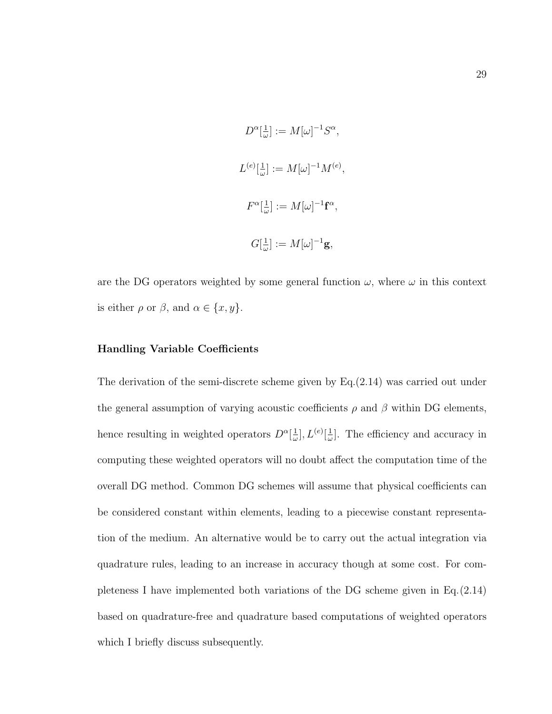$$
D^{\alpha}[\frac{1}{\omega}] := M[\omega]^{-1}S^{\alpha},
$$
  

$$
L^{(e)}[\frac{1}{\omega}] := M[\omega]^{-1}M^{(e)},
$$
  

$$
F^{\alpha}[\frac{1}{\omega}] := M[\omega]^{-1}\mathbf{f}^{\alpha},
$$
  

$$
G[\frac{1}{\omega}] := M[\omega]^{-1}\mathbf{g},
$$

are the DG operators weighted by some general function  $\omega$ , where  $\omega$  in this context is either  $\rho$  or  $\beta$ , and  $\alpha \in \{x, y\}$ .

#### Handling Variable Coefficients

The derivation of the semi-discrete scheme given by Eq.(2.14) was carried out under the general assumption of varying acoustic coefficients  $\rho$  and  $\beta$  within DG elements, hence resulting in weighted operators  $D^{\alpha}[\frac{1}{\omega}]$  $\frac{1}{\omega}],L^{(e)}[\frac{1}{\omega}$  $\frac{1}{\omega}$ . The efficiency and accuracy in computing these weighted operators will no doubt affect the computation time of the overall DG method. Common DG schemes will assume that physical coefficients can be considered constant within elements, leading to a piecewise constant representation of the medium. An alternative would be to carry out the actual integration via quadrature rules, leading to an increase in accuracy though at some cost. For completeness I have implemented both variations of the DG scheme given in Eq.(2.14) based on quadrature-free and quadrature based computations of weighted operators which I briefly discuss subsequently.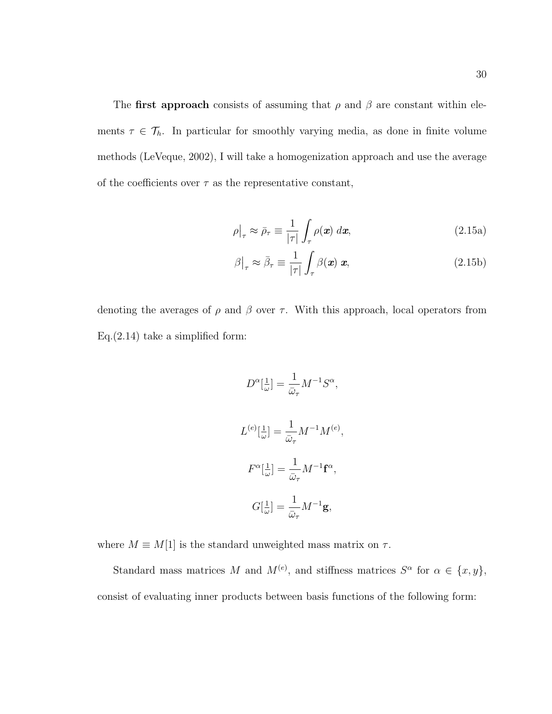The first approach consists of assuming that  $\rho$  and  $\beta$  are constant within elements  $\tau \in \mathcal{T}_h$ . In particular for smoothly varying media, as done in finite volume methods (LeVeque, 2002), I will take a homogenization approach and use the average of the coefficients over  $\tau$  as the representative constant,

$$
\rho|_{\tau} \approx \bar{\rho}_{\tau} \equiv \frac{1}{|\tau|} \int_{\tau} \rho(\mathbf{x}) \, d\mathbf{x}, \tag{2.15a}
$$

$$
\beta\big|_{\tau} \approx \bar{\beta}_{\tau} \equiv \frac{1}{|\tau|} \int_{\tau} \beta(\mathbf{x}) \mathbf{x}, \qquad (2.15b)
$$

denoting the averages of  $\rho$  and  $\beta$  over  $\tau$ . With this approach, local operators from Eq. $(2.14)$  take a simplified form:

$$
D^{\alpha}[\frac{1}{\omega}] = \frac{1}{\bar{\omega}_{\tau}} M^{-1} S^{\alpha},
$$
  

$$
L^{(e)}[\frac{1}{\omega}] = \frac{1}{\bar{\omega}_{\tau}} M^{-1} M^{(e)},
$$
  

$$
F^{\alpha}[\frac{1}{\omega}] = \frac{1}{\bar{\omega}_{\tau}} M^{-1} \mathbf{f}^{\alpha},
$$
  

$$
G[\frac{1}{\omega}] = \frac{1}{\bar{\omega}_{\tau}} M^{-1} \mathbf{g},
$$

where  $M \equiv M[1]$  is the standard unweighted mass matrix on  $\tau$ .

Standard mass matrices M and  $M^{(e)}$ , and stiffness matrices  $S^{\alpha}$  for  $\alpha \in \{x, y\}$ , consist of evaluating inner products between basis functions of the following form: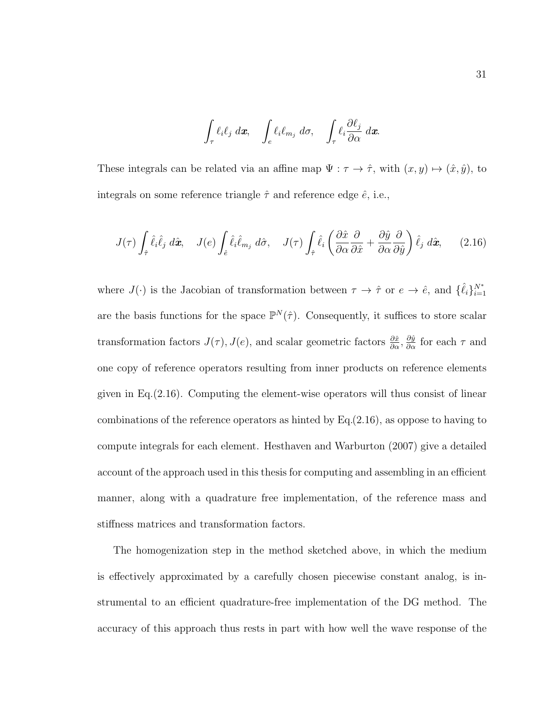$$
\int_{\tau} \ell_i \ell_j \, d\mathbf{x}, \quad \int_{e} \ell_i \ell_{m_j} \, d\sigma, \quad \int_{\tau} \ell_i \frac{\partial \ell_j}{\partial \alpha} \, d\mathbf{x}.
$$

These integrals can be related via an affine map  $\Psi : \tau \to \hat{\tau}$ , with  $(x, y) \mapsto (\hat{x}, \hat{y})$ , to integrals on some reference triangle  $\hat{\tau}$  and reference edge  $\hat{e}$ , i.e.,

$$
J(\tau) \int_{\hat{\tau}} \hat{\ell}_i \hat{\ell}_j \ d\hat{\mathbf{x}}, \quad J(e) \int_{\hat{e}} \hat{\ell}_i \hat{\ell}_{m_j} \ d\hat{\sigma}, \quad J(\tau) \int_{\hat{\tau}} \hat{\ell}_i \left( \frac{\partial \hat{x}}{\partial \alpha} \frac{\partial}{\partial \hat{x}} + \frac{\partial \hat{y}}{\partial \alpha} \frac{\partial}{\partial \hat{y}} \right) \hat{\ell}_j \ d\hat{\mathbf{x}}, \tag{2.16}
$$

where  $J(\cdot)$  is the Jacobian of transformation between  $\tau \to \hat{\tau}$  or  $e \to \hat{e}$ , and  $\{\hat{\ell}_i\}_{i=1}^{N^*}$ are the basis functions for the space  $\mathbb{P}^N(\hat{\tau})$ . Consequently, it suffices to store scalar transformation factors  $J(\tau)$ ,  $J(e)$ , and scalar geometric factors  $\frac{\partial \hat{x}}{\partial \alpha}$ ,  $\frac{\partial \hat{y}}{\partial \alpha}$  for each  $\tau$  and one copy of reference operators resulting from inner products on reference elements given in Eq.(2.16). Computing the element-wise operators will thus consist of linear combinations of the reference operators as hinted by  $Eq.(2.16)$ , as oppose to having to compute integrals for each element. Hesthaven and Warburton (2007) give a detailed account of the approach used in this thesis for computing and assembling in an efficient manner, along with a quadrature free implementation, of the reference mass and stiffness matrices and transformation factors.

The homogenization step in the method sketched above, in which the medium is effectively approximated by a carefully chosen piecewise constant analog, is instrumental to an efficient quadrature-free implementation of the DG method. The accuracy of this approach thus rests in part with how well the wave response of the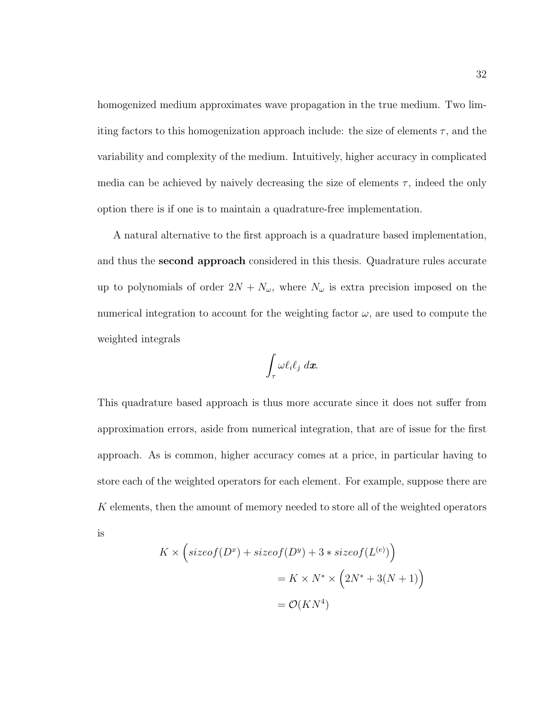homogenized medium approximates wave propagation in the true medium. Two limiting factors to this homogenization approach include: the size of elements  $\tau$ , and the variability and complexity of the medium. Intuitively, higher accuracy in complicated media can be achieved by naively decreasing the size of elements  $\tau$ , indeed the only option there is if one is to maintain a quadrature-free implementation.

A natural alternative to the first approach is a quadrature based implementation, and thus the second approach considered in this thesis. Quadrature rules accurate up to polynomials of order  $2N + N_{\omega}$ , where  $N_{\omega}$  is extra precision imposed on the numerical integration to account for the weighting factor  $\omega$ , are used to compute the weighted integrals

$$
\int_\tau \omega \ell_i \ell_j \ d\bm{x}.
$$

This quadrature based approach is thus more accurate since it does not suffer from approximation errors, aside from numerical integration, that are of issue for the first approach. As is common, higher accuracy comes at a price, in particular having to store each of the weighted operators for each element. For example, suppose there are K elements, then the amount of memory needed to store all of the weighted operators is

$$
K \times \left( \text{sizeof}(D^x) + \text{sizeof}(D^y) + 3 * \text{sizeof}(L^{(e)}) \right)
$$

$$
= K \times N^* \times \left( 2N^* + 3(N+1) \right)
$$

$$
= \mathcal{O}(KN^4)
$$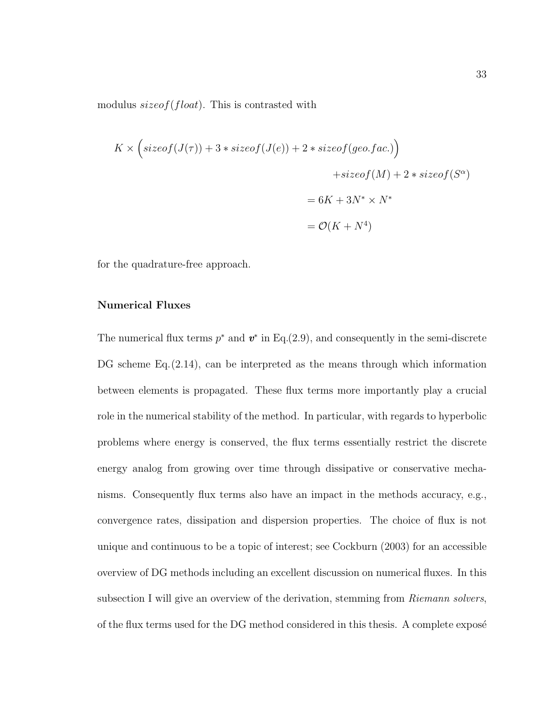modulus  $sizeof(float)$ . This is contrasted with

$$
K \times \left( \text{sizeof}(J(\tau)) + 3 * \text{sizeof}(J(e)) + 2 * \text{sizeof}(geo.fac.) \right)
$$

$$
+ \text{sizeof}(M) + 2 * \text{sizeof}(S^{\alpha})
$$

$$
= 6K + 3N^* \times N^*
$$

$$
= \mathcal{O}(K + N^4)
$$

for the quadrature-free approach.

### Numerical Fluxes

The numerical flux terms  $p^*$  and  $v^*$  in Eq.(2.9), and consequently in the semi-discrete DG scheme Eq.(2.14), can be interpreted as the means through which information between elements is propagated. These flux terms more importantly play a crucial role in the numerical stability of the method. In particular, with regards to hyperbolic problems where energy is conserved, the flux terms essentially restrict the discrete energy analog from growing over time through dissipative or conservative mechanisms. Consequently flux terms also have an impact in the methods accuracy, e.g., convergence rates, dissipation and dispersion properties. The choice of flux is not unique and continuous to be a topic of interest; see Cockburn (2003) for an accessible overview of DG methods including an excellent discussion on numerical fluxes. In this subsection I will give an overview of the derivation, stemming from *Riemann solvers*, of the flux terms used for the DG method considered in this thesis. A complete expose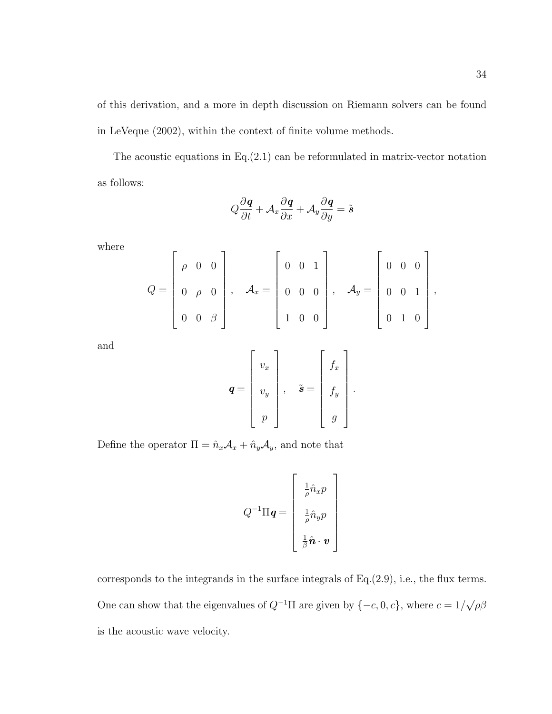of this derivation, and a more in depth discussion on Riemann solvers can be found in LeVeque (2002), within the context of finite volume methods.

The acoustic equations in Eq. $(2.1)$  can be reformulated in matrix-vector notation as follows:

$$
Q\frac{\partial \mathbf{q}}{\partial t} + \mathcal{A}_x \frac{\partial \mathbf{q}}{\partial x} + \mathcal{A}_y \frac{\partial \mathbf{q}}{\partial y} = \tilde{\mathbf{s}}
$$

where

$$
Q = \begin{bmatrix} \rho & 0 & 0 \\ 0 & \rho & 0 \\ 0 & 0 & \beta \end{bmatrix}, \quad A_x = \begin{bmatrix} 0 & 0 & 1 \\ 0 & 0 & 0 \\ 1 & 0 & 0 \end{bmatrix}, \quad A_y = \begin{bmatrix} 0 & 0 & 0 \\ 0 & 0 & 1 \\ 0 & 1 & 0 \end{bmatrix},
$$

and

$$
\boldsymbol{q} = \begin{bmatrix} v_x \\ v_y \\ p \end{bmatrix}, \quad \tilde{\boldsymbol{s}} = \begin{bmatrix} f_x \\ f_y \\ g \end{bmatrix}.
$$

Define the operator  $\Pi = \hat{n}_x \mathcal{A}_x + \hat{n}_y \mathcal{A}_y,$  and note that

$$
Q^{-1}\Pi \boldsymbol{q} = \begin{bmatrix} \frac{1}{\rho}\hat{n}_x p \\ \frac{1}{\rho}\hat{n}_y p \\ \frac{1}{\beta}\hat{\boldsymbol{n}} \cdot \boldsymbol{v} \end{bmatrix}
$$

corresponds to the integrands in the surface integrals of Eq.(2.9), i.e., the flux terms. One can show that the eigenvalues of  $Q^{-1}\Pi$  are given by  $\{-c, 0, c\}$ , where  $c = 1/\sqrt{2}$ ρβ is the acoustic wave velocity.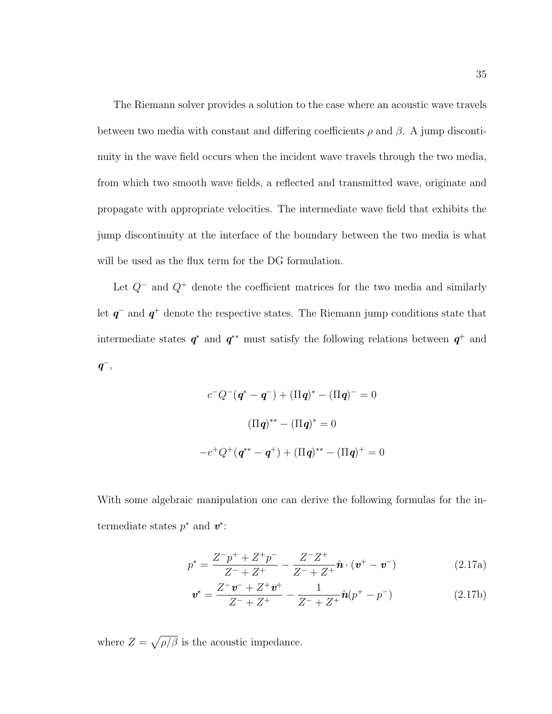The Riemann solver provides a solution to the case where an acoustic wave travels between two media with constant and differing coefficients  $\rho$  and  $\beta$ . A jump discontinuity in the wave field occurs when the incident wave travels through the two media, from which two smooth wave fields, a reflected and transmitted wave, originate and propagate with appropriate velocities. The intermediate wave field that exhibits the jump discontinuity at the interface of the boundary between the two media is what will be used as the flux term for the DG formulation.

Let  $Q^-$  and  $Q^+$  denote the coefficient matrices for the two media and similarly let  $q^-$  and  $q^+$  denote the respective states. The Riemann jump conditions state that intermediate states  $q^*$  and  $q^{**}$  must satisfy the following relations between  $q^+$  and  $q^-,$ 

$$
c^{-}Q^{-}(q^{*} - q^{-}) + (\Pi q)^{*} - (\Pi q)^{-} = 0
$$

$$
(\Pi q)^{**} - (\Pi q)^{*} = 0
$$

$$
-c^{+}Q^{+}(q^{**} - q^{+}) + (\Pi q)^{**} - (\Pi q)^{+} = 0
$$

With some algebraic manipulation one can derive the following formulas for the intermediate states  $p^*$  and  $v^*$ :

$$
p^* = \frac{Z^-p^+ + Z^+p^-}{Z^- + Z^+} - \frac{Z^-Z^+}{Z^- + Z^+} \hat{\boldsymbol{n}} \cdot (\boldsymbol{v}^+ - \boldsymbol{v}^-)
$$
(2.17a)

$$
\mathbf{v}^* = \frac{Z^- \mathbf{v}^- + Z^+ \mathbf{v}^+}{Z^- + Z^+} - \frac{1}{Z^- + Z^+} \hat{\mathbf{n}}(p^+ - p^-) \tag{2.17b}
$$

where  $Z = \sqrt{\rho/\beta}$  is the acoustic impedance.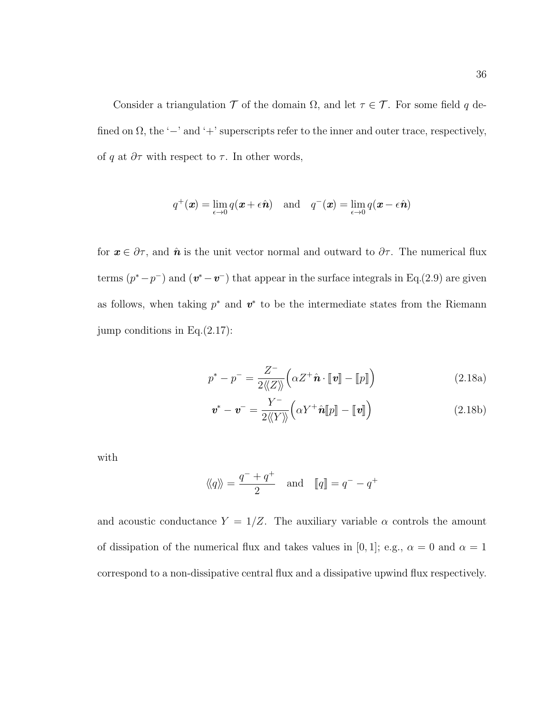Consider a triangulation  $\mathcal T$  of the domain  $\Omega$ , and let  $\tau \in \mathcal T$ . For some field q defined on  $\Omega$ , the ' $-$ ' and ' $+$ ' superscripts refer to the inner and outer trace, respectively, of q at  $\partial \tau$  with respect to  $\tau$ . In other words,

$$
q^+(\boldsymbol{x}) = \lim_{\epsilon \to 0} q(\boldsymbol{x} + \epsilon \hat{\boldsymbol{n}})
$$
 and  $q^-(\boldsymbol{x}) = \lim_{\epsilon \to 0} q(\boldsymbol{x} - \epsilon \hat{\boldsymbol{n}})$ 

for  $x \in \partial \tau$ , and  $\hat{\mathbf{n}}$  is the unit vector normal and outward to  $\partial \tau$ . The numerical flux terms  $(p^* - p^-)$  and  $(\mathbf{v}^* - \mathbf{v}^-)$  that appear in the surface integrals in Eq.(2.9) are given as follows, when taking  $p^*$  and  $v^*$  to be the intermediate states from the Riemann jump conditions in Eq.(2.17):

$$
p^* - p^- = \frac{Z^-}{2\langle\!\langle Z \rangle\!\rangle} \Big( \alpha Z^+ \hat{\boldsymbol{n}} \cdot [\![ \boldsymbol{v} ]\!] - [\![ p ]\!] \Big) \tag{2.18a}
$$

$$
\mathbf{v}^* - \mathbf{v}^- = \frac{Y^-}{2\langle\!\langle Y \rangle\!\rangle} \Big( \alpha Y^+ \hat{\mathbf{n}}[\![p]\!] - [\![\mathbf{v}]\!] \Big) \tag{2.18b}
$$

with

$$
\langle q \rangle = \frac{q^- + q^+}{2}
$$
 and  $[q] = q^- - q^+$ 

and acoustic conductance  $Y = 1/Z$ . The auxiliary variable  $\alpha$  controls the amount of dissipation of the numerical flux and takes values in [0, 1]; e.g.,  $\alpha = 0$  and  $\alpha = 1$ correspond to a non-dissipative central flux and a dissipative upwind flux respectively.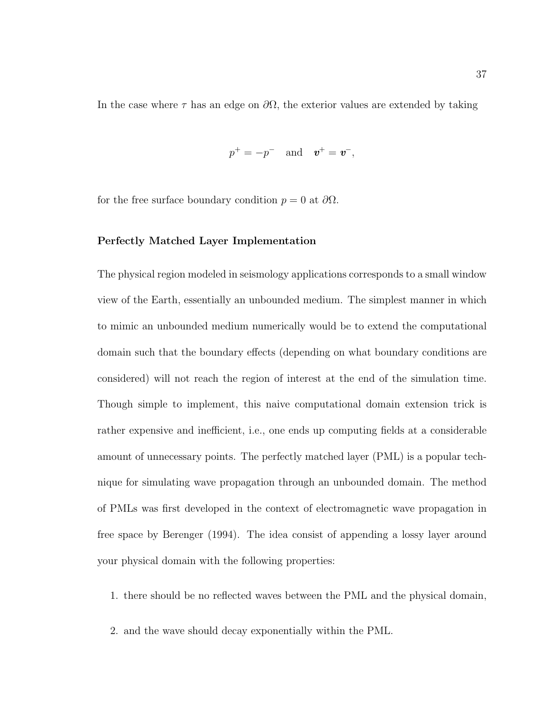In the case where  $\tau$  has an edge on  $\partial\Omega$ , the exterior values are extended by taking

$$
p^+ = -p^- \quad \text{and} \quad \boldsymbol{v}^+ = \boldsymbol{v}^-,
$$

for the free surface boundary condition  $p = 0$  at  $\partial\Omega$ .

#### Perfectly Matched Layer Implementation

The physical region modeled in seismology applications corresponds to a small window view of the Earth, essentially an unbounded medium. The simplest manner in which to mimic an unbounded medium numerically would be to extend the computational domain such that the boundary effects (depending on what boundary conditions are considered) will not reach the region of interest at the end of the simulation time. Though simple to implement, this naive computational domain extension trick is rather expensive and inefficient, i.e., one ends up computing fields at a considerable amount of unnecessary points. The perfectly matched layer (PML) is a popular technique for simulating wave propagation through an unbounded domain. The method of PMLs was first developed in the context of electromagnetic wave propagation in free space by Berenger (1994). The idea consist of appending a lossy layer around your physical domain with the following properties:

1. there should be no reflected waves between the PML and the physical domain,

2. and the wave should decay exponentially within the PML.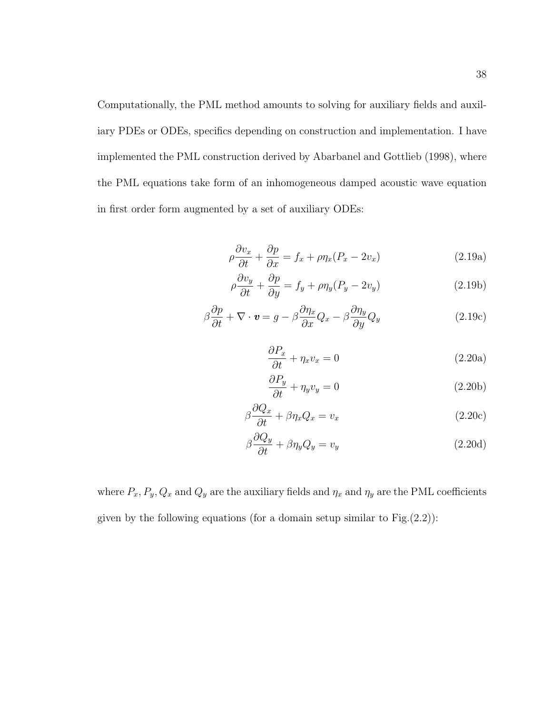Computationally, the PML method amounts to solving for auxiliary fields and auxiliary PDEs or ODEs, specifics depending on construction and implementation. I have implemented the PML construction derived by Abarbanel and Gottlieb (1998), where the PML equations take form of an inhomogeneous damped acoustic wave equation in first order form augmented by a set of auxiliary ODEs:

$$
\rho \frac{\partial v_x}{\partial t} + \frac{\partial p}{\partial x} = f_x + \rho \eta_x (P_x - 2v_x)
$$
\n(2.19a)

$$
\rho \frac{\partial v_y}{\partial t} + \frac{\partial p}{\partial y} = f_y + \rho \eta_y (P_y - 2v_y)
$$
\n(2.19b)

$$
\beta \frac{\partial p}{\partial t} + \nabla \cdot \mathbf{v} = g - \beta \frac{\partial \eta_x}{\partial x} Q_x - \beta \frac{\partial \eta_y}{\partial y} Q_y \tag{2.19c}
$$

$$
\frac{\partial P_x}{\partial t} + \eta_x v_x = 0 \tag{2.20a}
$$

$$
\frac{\partial P_y}{\partial t} + \eta_y v_y = 0 \tag{2.20b}
$$

$$
\beta \frac{\partial Q_x}{\partial t} + \beta \eta_x Q_x = v_x \tag{2.20c}
$$

$$
\beta \frac{\partial Q_y}{\partial t} + \beta \eta_y Q_y = v_y \tag{2.20d}
$$

where  $P_x$ ,  $P_y$ ,  $Q_x$  and  $Q_y$  are the auxiliary fields and  $\eta_x$  and  $\eta_y$  are the PML coefficients given by the following equations (for a domain setup similar to  $Fig.(2.2)$ ):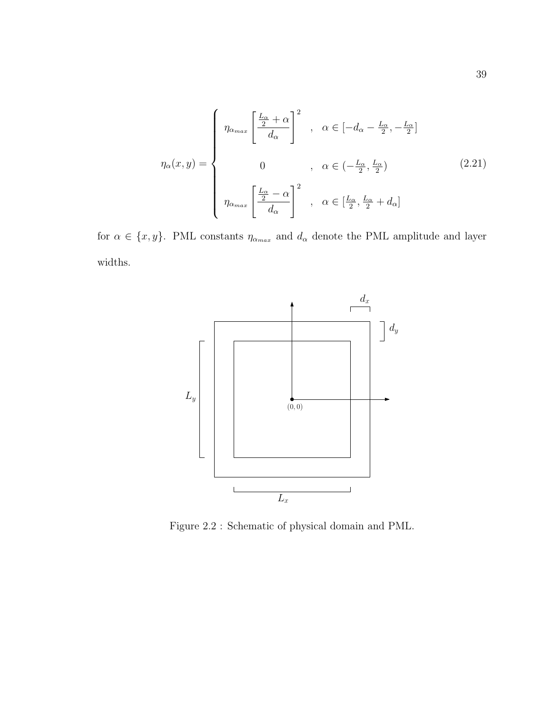$$
\eta_{\alpha}(x,y) = \begin{cases}\n\eta_{\alpha_{max}} \left[ \frac{\frac{L_{\alpha}}{2} + \alpha}{d_{\alpha}} \right]^{2} , & \alpha \in [-d_{\alpha} - \frac{L_{\alpha}}{2}, -\frac{L_{\alpha}}{2}] \\
0 & , \alpha \in (-\frac{L_{\alpha}}{2}, \frac{L_{\alpha}}{2}) \\
\eta_{\alpha_{max}} \left[ \frac{\frac{L_{\alpha}}{2} - \alpha}{d_{\alpha}} \right]^{2} , & \alpha \in [\frac{L_{\alpha}}{2}, \frac{L_{\alpha}}{2} + d_{\alpha}] \n\end{cases}
$$
\n(2.21)

for  $\alpha \in \{x, y\}$ . PML constants  $\eta_{\alpha_{max}}$  and  $d_{\alpha}$  denote the PML amplitude and layer widths.



Figure 2.2 : Schematic of physical domain and PML.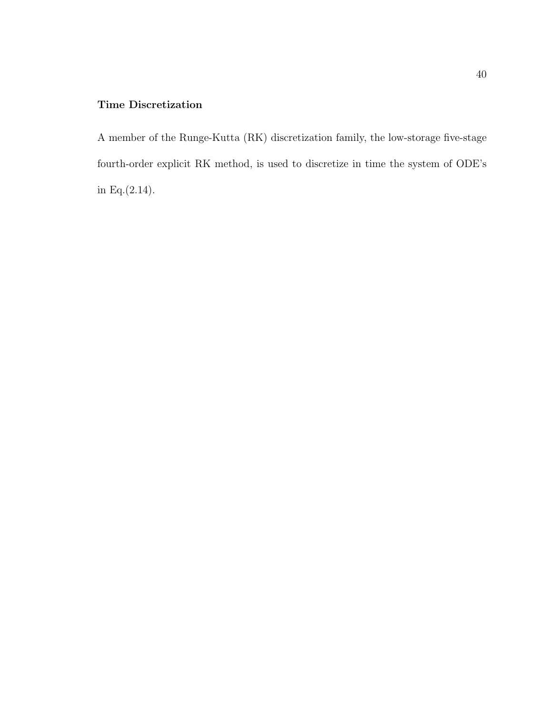# Time Discretization

A member of the Runge-Kutta (RK) discretization family, the low-storage five-stage fourth-order explicit RK method, is used to discretize in time the system of ODE's in Eq.(2.14).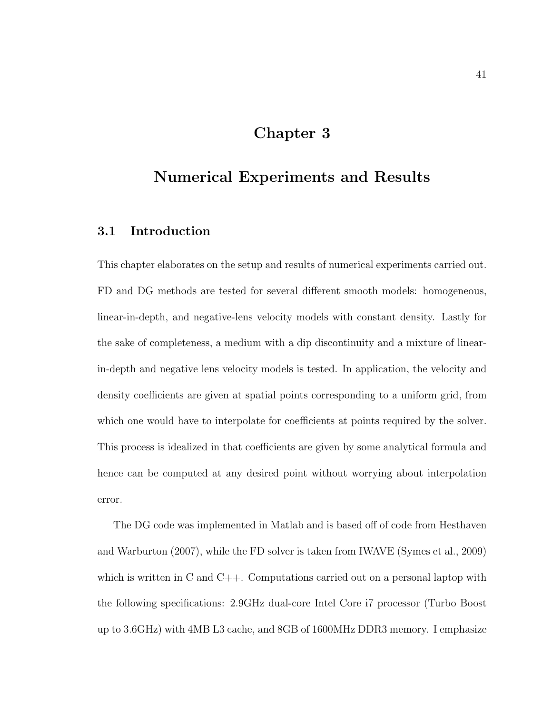# Chapter 3

# Numerical Experiments and Results

## 3.1 Introduction

This chapter elaborates on the setup and results of numerical experiments carried out. FD and DG methods are tested for several different smooth models: homogeneous, linear-in-depth, and negative-lens velocity models with constant density. Lastly for the sake of completeness, a medium with a dip discontinuity and a mixture of linearin-depth and negative lens velocity models is tested. In application, the velocity and density coefficients are given at spatial points corresponding to a uniform grid, from which one would have to interpolate for coefficients at points required by the solver. This process is idealized in that coefficients are given by some analytical formula and hence can be computed at any desired point without worrying about interpolation error.

The DG code was implemented in Matlab and is based off of code from Hesthaven and Warburton (2007), while the FD solver is taken from IWAVE (Symes et al., 2009) which is written in C and C++. Computations carried out on a personal laptop with the following specifications: 2.9GHz dual-core Intel Core i7 processor (Turbo Boost up to 3.6GHz) with 4MB L3 cache, and 8GB of 1600MHz DDR3 memory. I emphasize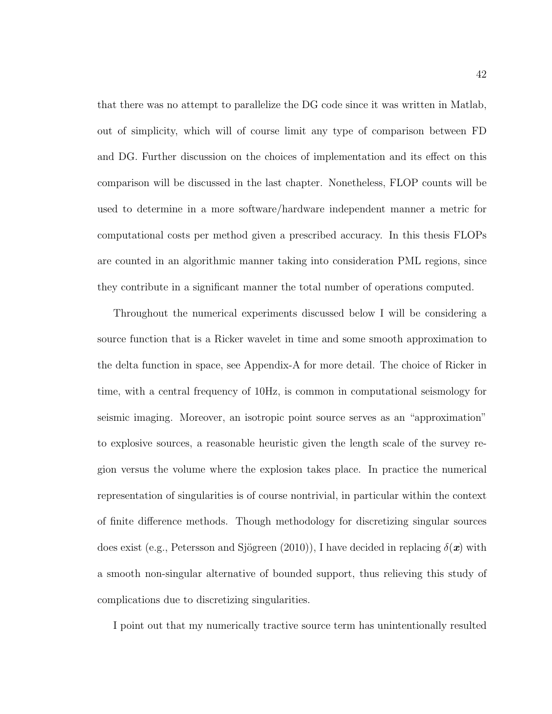that there was no attempt to parallelize the DG code since it was written in Matlab, out of simplicity, which will of course limit any type of comparison between FD and DG. Further discussion on the choices of implementation and its effect on this comparison will be discussed in the last chapter. Nonetheless, FLOP counts will be used to determine in a more software/hardware independent manner a metric for computational costs per method given a prescribed accuracy. In this thesis FLOPs are counted in an algorithmic manner taking into consideration PML regions, since they contribute in a significant manner the total number of operations computed.

Throughout the numerical experiments discussed below I will be considering a source function that is a Ricker wavelet in time and some smooth approximation to the delta function in space, see Appendix-A for more detail. The choice of Ricker in time, with a central frequency of 10Hz, is common in computational seismology for seismic imaging. Moreover, an isotropic point source serves as an "approximation" to explosive sources, a reasonable heuristic given the length scale of the survey region versus the volume where the explosion takes place. In practice the numerical representation of singularities is of course nontrivial, in particular within the context of finite difference methods. Though methodology for discretizing singular sources does exist (e.g., Petersson and Sjögreen (2010)), I have decided in replacing  $\delta(\mathbf{x})$  with a smooth non-singular alternative of bounded support, thus relieving this study of complications due to discretizing singularities.

I point out that my numerically tractive source term has unintentionally resulted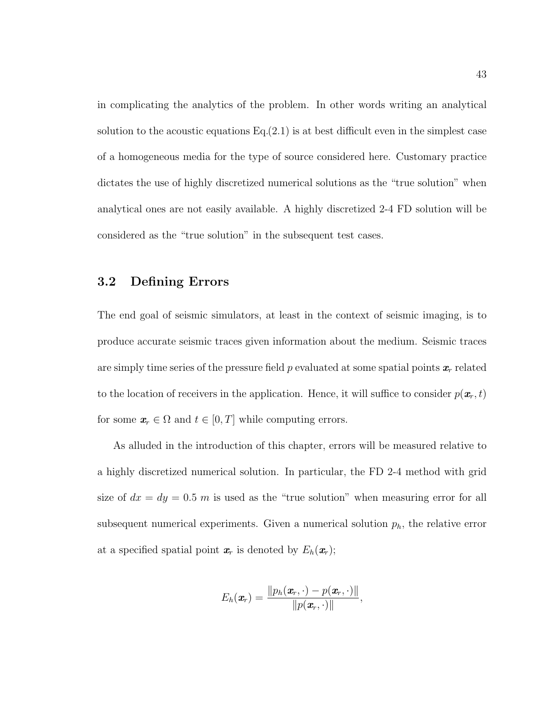in complicating the analytics of the problem. In other words writing an analytical solution to the acoustic equations  $Eq.(2.1)$  is at best difficult even in the simplest case of a homogeneous media for the type of source considered here. Customary practice dictates the use of highly discretized numerical solutions as the "true solution" when analytical ones are not easily available. A highly discretized 2-4 FD solution will be considered as the "true solution" in the subsequent test cases.

### 3.2 Defining Errors

The end goal of seismic simulators, at least in the context of seismic imaging, is to produce accurate seismic traces given information about the medium. Seismic traces are simply time series of the pressure field p evaluated at some spatial points  $x_r$  related to the location of receivers in the application. Hence, it will suffice to consider  $p(\mathbf{x}_r, t)$ for some  $x_r \in \Omega$  and  $t \in [0, T]$  while computing errors.

As alluded in the introduction of this chapter, errors will be measured relative to a highly discretized numerical solution. In particular, the FD 2-4 method with grid size of  $dx = dy = 0.5$  m is used as the "true solution" when measuring error for all subsequent numerical experiments. Given a numerical solution  $p<sub>h</sub>$ , the relative error at a specified spatial point  $x_r$  is denoted by  $E_h(x_r)$ ;

$$
E_h(\boldsymbol{x}_r) = \frac{\|p_h(\boldsymbol{x}_r,\cdot)-p(\boldsymbol{x}_r,\cdot)\|}{\|p(\boldsymbol{x}_r,\cdot)\|},
$$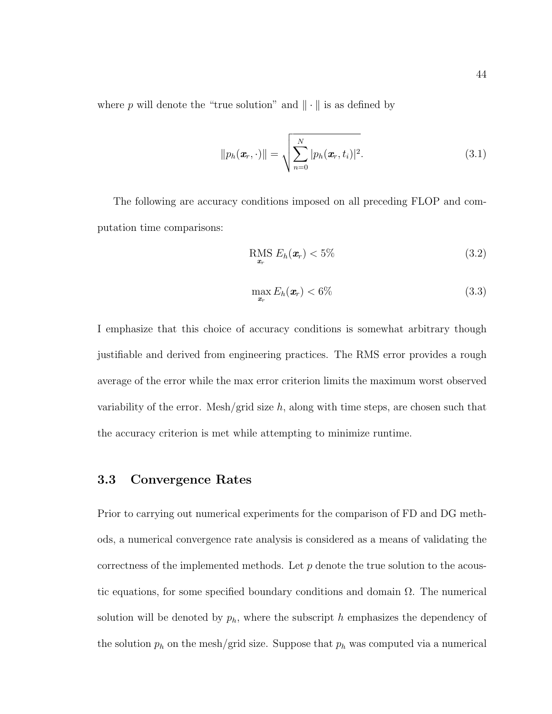where p will denote the "true solution" and  $\|\cdot\|$  is as defined by

$$
||p_h(\boldsymbol{x}_r, \cdot)|| = \sqrt{\sum_{n=0}^N |p_h(\boldsymbol{x}_r, t_i)|^2}.
$$
\n(3.1)

The following are accuracy conditions imposed on all preceding FLOP and computation time comparisons:

$$
\underset{\mathbf{x}_r}{\text{RMS}}\ E_h(\mathbf{x}_r) < 5\% \tag{3.2}
$$

$$
\max_{\boldsymbol{x}_r} E_h(\boldsymbol{x}_r) < 6\% \tag{3.3}
$$

I emphasize that this choice of accuracy conditions is somewhat arbitrary though justifiable and derived from engineering practices. The RMS error provides a rough average of the error while the max error criterion limits the maximum worst observed variability of the error. Mesh/grid size  $h$ , along with time steps, are chosen such that the accuracy criterion is met while attempting to minimize runtime.

### 3.3 Convergence Rates

Prior to carrying out numerical experiments for the comparison of FD and DG methods, a numerical convergence rate analysis is considered as a means of validating the correctness of the implemented methods. Let  $p$  denote the true solution to the acoustic equations, for some specified boundary conditions and domain  $\Omega$ . The numerical solution will be denoted by  $p_h$ , where the subscript h emphasizes the dependency of the solution  $p_h$  on the mesh/grid size. Suppose that  $p_h$  was computed via a numerical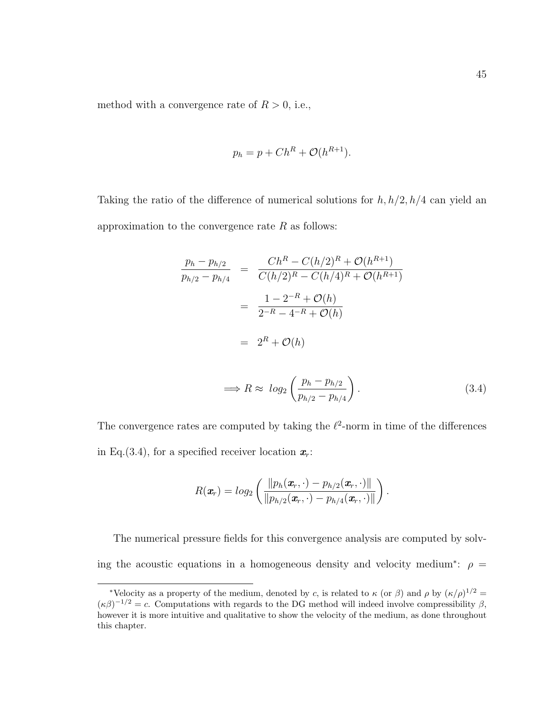method with a convergence rate of  $R>0,$  i.e.,

$$
p_h = p + Ch^R + \mathcal{O}(h^{R+1}).
$$

Taking the ratio of the difference of numerical solutions for  $h, h/2, h/4$  can yield an approximation to the convergence rate  $R$  as follows:

$$
\frac{p_h - p_{h/2}}{p_{h/2} - p_{h/4}} = \frac{Ch^R - C(h/2)^R + \mathcal{O}(h^{R+1})}{C(h/2)^R - C(h/4)^R + \mathcal{O}(h^{R+1})}
$$

$$
= \frac{1 - 2^{-R} + \mathcal{O}(h)}{2^{-R} - 4^{-R} + \mathcal{O}(h)}
$$

$$
= 2^R + \mathcal{O}(h)
$$

$$
\implies R \approx \log_2\left(\frac{p_h - p_{h/2}}{p_{h/2} - p_{h/4}}\right). \tag{3.4}
$$

The convergence rates are computed by taking the  $\ell^2$ -norm in time of the differences in Eq.(3.4), for a specified receiver location  $x_r$ :

$$
R(\boldsymbol{x}_r) = log_2\left(\frac{\|p_h(\boldsymbol{x}_r,\cdot)-p_{h/2}(\boldsymbol{x}_r,\cdot)\|}{\|p_{h/2}(\boldsymbol{x}_r,\cdot)-p_{h/4}(\boldsymbol{x}_r,\cdot)\|}\right).
$$

The numerical pressure fields for this convergence analysis are computed by solving the acoustic equations in a homogeneous density and velocity medium<sup>\*</sup>:  $\rho =$ 

<sup>\*</sup>Velocity as a property of the medium, denoted by c, is related to  $\kappa$  (or  $\beta$ ) and  $\rho$  by  $(\kappa/\rho)^{1/2}$  =  $(\kappa \beta)^{-1/2} = c$ . Computations with regards to the DG method will indeed involve compressibility  $\beta$ , however it is more intuitive and qualitative to show the velocity of the medium, as done throughout this chapter.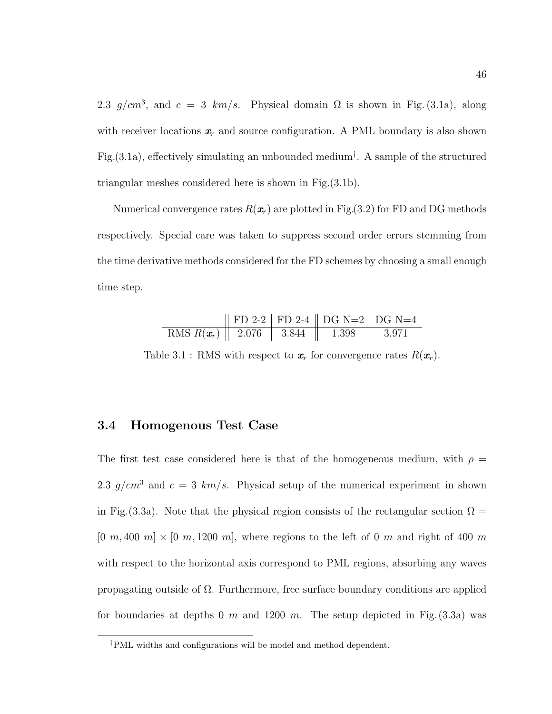2.3 g/cm<sup>3</sup>, and  $c = 3$  km/s. Physical domain  $\Omega$  is shown in Fig. (3.1a), along with receiver locations  $x_r$  and source configuration. A PML boundary is also shown Fig.(3.1a), effectively simulating an unbounded medium† . A sample of the structured triangular meshes considered here is shown in Fig.(3.1b).

Numerical convergence rates  $R(x_r)$  are plotted in Fig.(3.2) for FD and DG methods respectively. Special care was taken to suppress second order errors stemming from the time derivative methods considered for the FD schemes by choosing a small enough time step.

|                                               |  | $\parallel$ FD 2-2 $\parallel$ FD 2-4 $\parallel$ DG N=2 $\parallel$ DG N=4 |                   |
|-----------------------------------------------|--|-----------------------------------------------------------------------------|-------------------|
| RMS $R(\mathbf{x}_r)$   2.076   3.844   1.398 |  |                                                                             | $\frac{3.971}{ }$ |

Table 3.1 : RMS with respect to  $x_r$  for convergence rates  $R(x_r)$ .

## 3.4 Homogenous Test Case

The first test case considered here is that of the homogeneous medium, with  $\rho =$ 2.3  $g/cm^3$  and  $c = 3$  km/s. Physical setup of the numerical experiment in shown in Fig. (3.3a). Note that the physical region consists of the rectangular section  $\Omega =$  $[0 \, m, 400 \, m] \times [0 \, m, 1200 \, m]$ , where regions to the left of 0 m and right of 400 m with respect to the horizontal axis correspond to PML regions, absorbing any waves propagating outside of  $\Omega$ . Furthermore, free surface boundary conditions are applied for boundaries at depths 0 m and 1200 m. The setup depicted in Fig.  $(3.3a)$  was

<sup>†</sup>PML widths and configurations will be model and method dependent.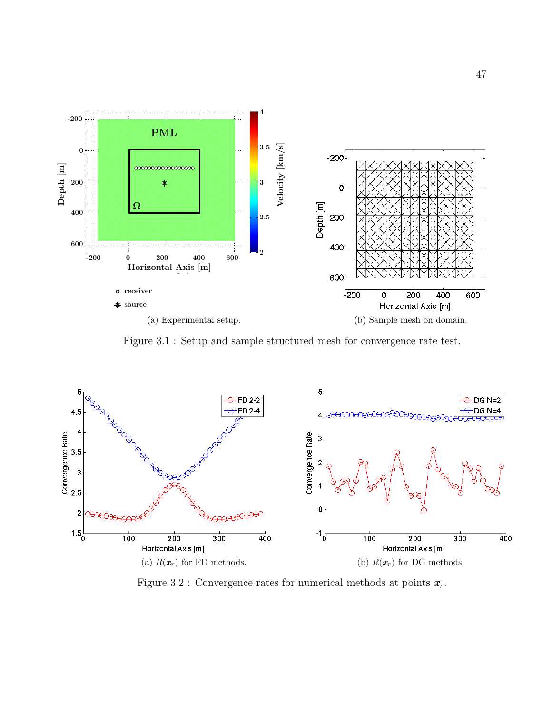

Figure 3.1 : Setup and sample structured mesh for convergence rate test.



Figure 3.2 : Convergence rates for numerical methods at points  $x_r$ .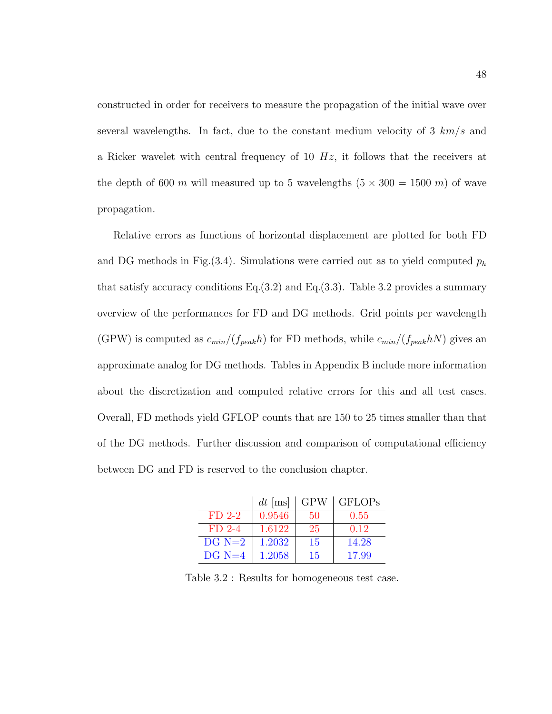constructed in order for receivers to measure the propagation of the initial wave over several wavelengths. In fact, due to the constant medium velocity of 3  $km/s$  and a Ricker wavelet with central frequency of 10  $Hz$ , it follows that the receivers at the depth of 600 m will measured up to 5 wavelengths  $(5 \times 300 = 1500 \text{ m})$  of wave propagation.

Relative errors as functions of horizontal displacement are plotted for both FD and DG methods in Fig.(3.4). Simulations were carried out as to yield computed  $p_h$ that satisfy accuracy conditions Eq.  $(3.2)$  and Eq.  $(3.3)$ . Table 3.2 provides a summary overview of the performances for FD and DG methods. Grid points per wavelength (GPW) is computed as  $c_{min}/(f_{peak}h)$  for FD methods, while  $c_{min}/(f_{peak}h)$  gives an approximate analog for DG methods. Tables in Appendix B include more information about the discretization and computed relative errors for this and all test cases. Overall, FD methods yield GFLOP counts that are 150 to 25 times smaller than that of the DG methods. Further discussion and comparison of computational efficiency between DG and FD is reserved to the conclusion chapter.

|          | $dt$ [ms] | <b>GPW</b> | <b>GFLOPs</b> |
|----------|-----------|------------|---------------|
| $FD$ 2-2 | 0.9546    | 50         | 0.55          |
| $FD$ 2-4 | 1.6122    | 25         | 0.12          |
| $DG N=2$ | 1.2032    | 15         | 14.28         |
| $DG N=4$ | 1.2058    | 15         | 17.99         |

Table 3.2 : Results for homogeneous test case.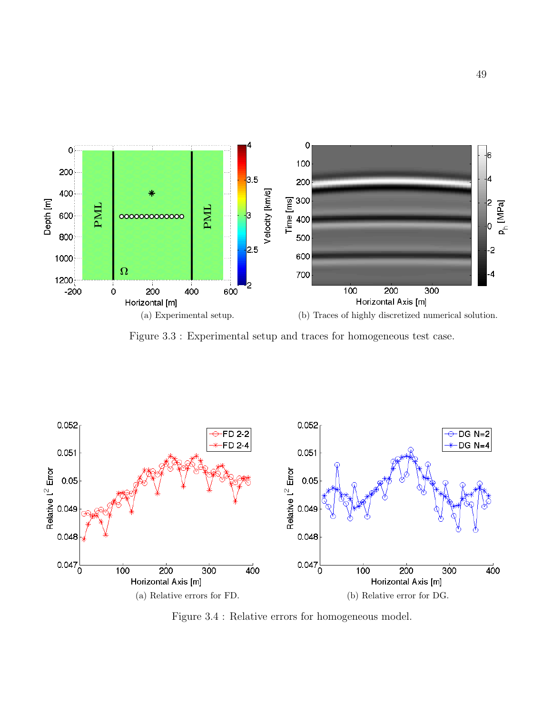

Figure 3.3 : Experimental setup and traces for homogeneous test case.



Figure 3.4 : Relative errors for homogeneous model.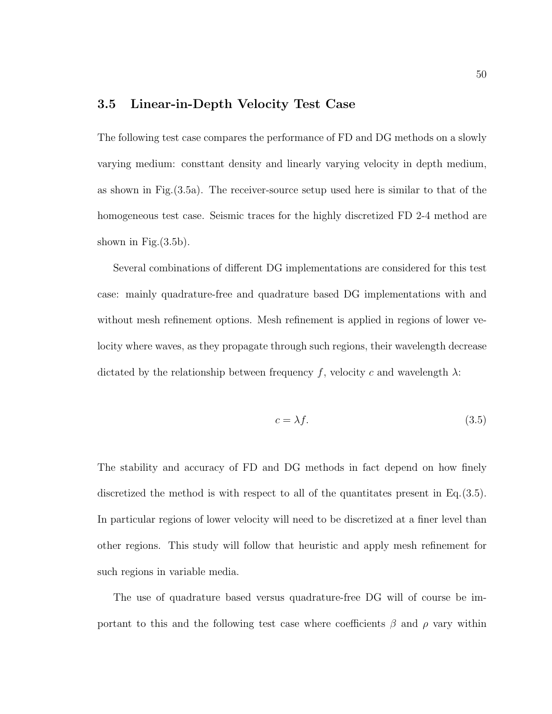## 3.5 Linear-in-Depth Velocity Test Case

The following test case compares the performance of FD and DG methods on a slowly varying medium: consttant density and linearly varying velocity in depth medium, as shown in Fig.(3.5a). The receiver-source setup used here is similar to that of the homogeneous test case. Seismic traces for the highly discretized FD 2-4 method are shown in Fig. $(3.5b)$ .

Several combinations of different DG implementations are considered for this test case: mainly quadrature-free and quadrature based DG implementations with and without mesh refinement options. Mesh refinement is applied in regions of lower velocity where waves, as they propagate through such regions, their wavelength decrease dictated by the relationship between frequency f, velocity c and wavelength  $\lambda$ :

$$
c = \lambda f. \tag{3.5}
$$

The stability and accuracy of FD and DG methods in fact depend on how finely discretized the method is with respect to all of the quantitates present in Eq.(3.5). In particular regions of lower velocity will need to be discretized at a finer level than other regions. This study will follow that heuristic and apply mesh refinement for such regions in variable media.

The use of quadrature based versus quadrature-free DG will of course be important to this and the following test case where coefficients  $\beta$  and  $\rho$  vary within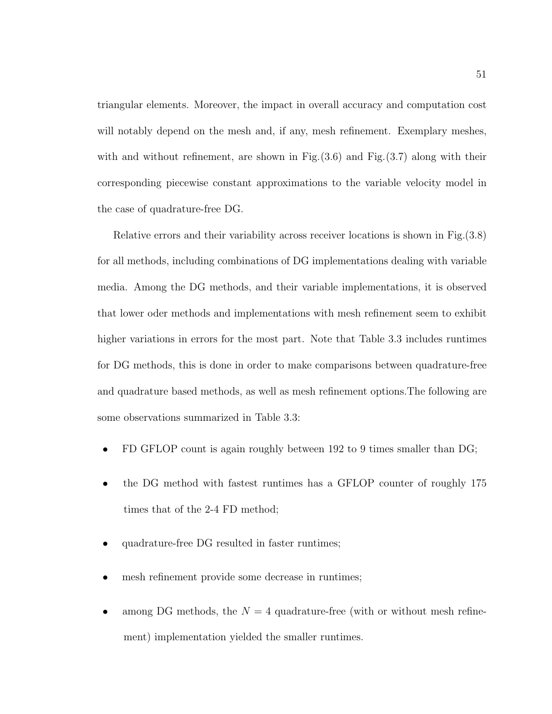triangular elements. Moreover, the impact in overall accuracy and computation cost will notably depend on the mesh and, if any, mesh refinement. Exemplary meshes, with and without refinement, are shown in Fig. (3.6) and Fig. (3.7) along with their corresponding piecewise constant approximations to the variable velocity model in the case of quadrature-free DG.

Relative errors and their variability across receiver locations is shown in Fig.(3.8) for all methods, including combinations of DG implementations dealing with variable media. Among the DG methods, and their variable implementations, it is observed that lower oder methods and implementations with mesh refinement seem to exhibit higher variations in errors for the most part. Note that Table 3.3 includes runtimes for DG methods, this is done in order to make comparisons between quadrature-free and quadrature based methods, as well as mesh refinement options.The following are some observations summarized in Table 3.3:

- FD GFLOP count is again roughly between 192 to 9 times smaller than DG;
- the DG method with fastest runtimes has a GFLOP counter of roughly 175 times that of the 2-4 FD method;
- quadrature-free DG resulted in faster runtimes;
- mesh refinement provide some decrease in runtimes;
- among DG methods, the  $N = 4$  quadrature-free (with or without mesh refinement) implementation yielded the smaller runtimes.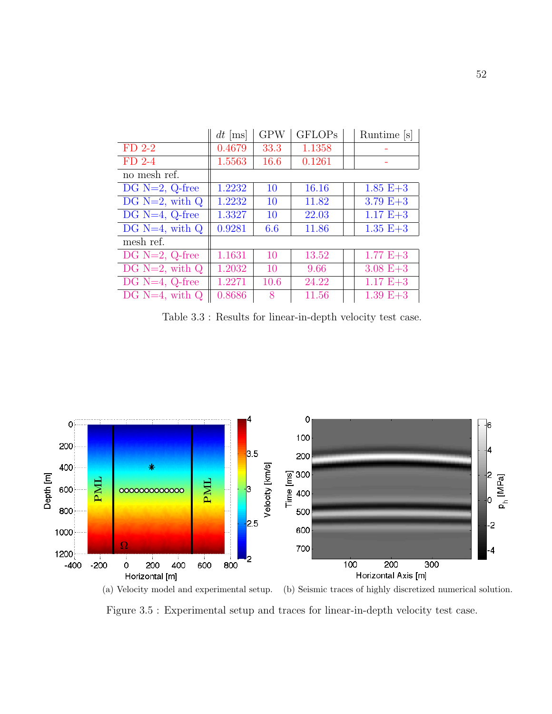|                     | $dt$ [ms] | <b>GPW</b> | <b>GFLOPs</b> | Runtime  s   |
|---------------------|-----------|------------|---------------|--------------|
| $FD$ 2-2            | 0.4679    | 33.3       | 1.1358        |              |
| $FD$ 2-4            | 1.5563    | 16.6       | 0.1261        |              |
| no mesh ref.        |           |            |               |              |
| $DG N=2, Q-free$    | 1.2232    | 10         | 16.16         | $1.85 E + 3$ |
| DG $N=2$ , with $Q$ | 1.2232    | 10         | 11.82         | $3.79 E + 3$ |
| DG $N=4$ , Q-free   | 1.3327    | 10         | 22.03         | $1.17 E + 3$ |
| DG $N=4$ , with $Q$ | 0.9281    | 6.6        | 11.86         | $1.35 E + 3$ |
| mesh ref.           |           |            |               |              |
| DG $N=2$ , Q-free   | 1.1631    | 10         | 13.52         | $1.77 E + 3$ |
| DG $N=2$ , with $Q$ | 1.2032    | 10         | 9.66          | $3.08 E + 3$ |
| $DG N=4, Q-free$    | 1.2271    | 10.6       | 24.22         | $1.17 E + 3$ |
| DG $N=4$ , with $Q$ | 0.8686    | 8          | 11.56         | $1.39 E + 3$ |

Table 3.3 : Results for linear-in-depth velocity test case.



(a) Velocity model and experimental setup. (b) Seismic traces of highly discretized numerical solution. Figure 3.5 : Experimental setup and traces for linear-in-depth velocity test case.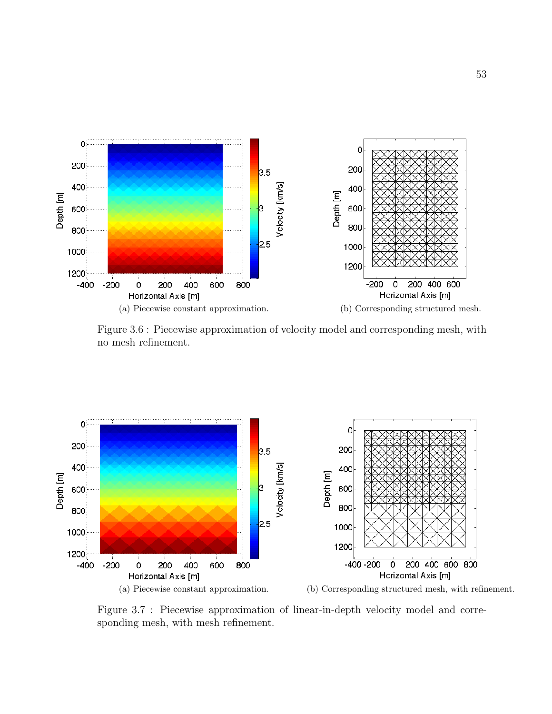

Figure 3.6 : Piecewise approximation of velocity model and corresponding mesh, with no mesh refinement.



Figure 3.7 : Piecewise approximation of linear-in-depth velocity model and corresponding mesh, with mesh refinement.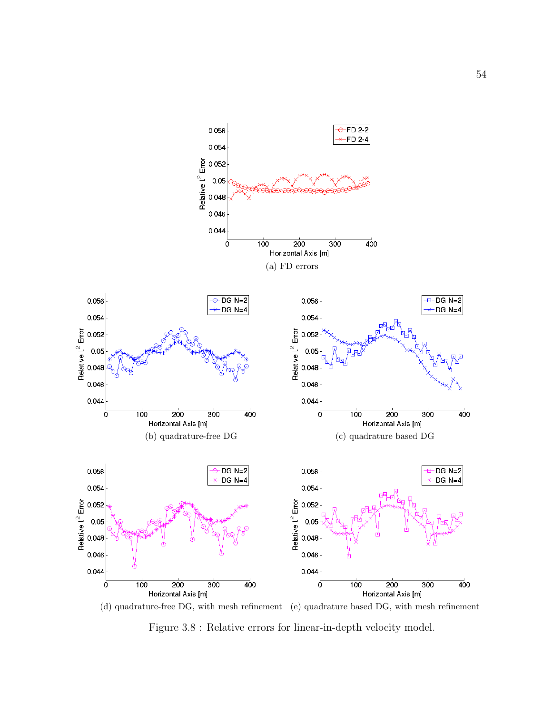

(d) quadrature-free DG, with mesh refinement (e) quadrature based DG, with mesh refinement Figure 3.8 : Relative errors for linear-in-depth velocity model.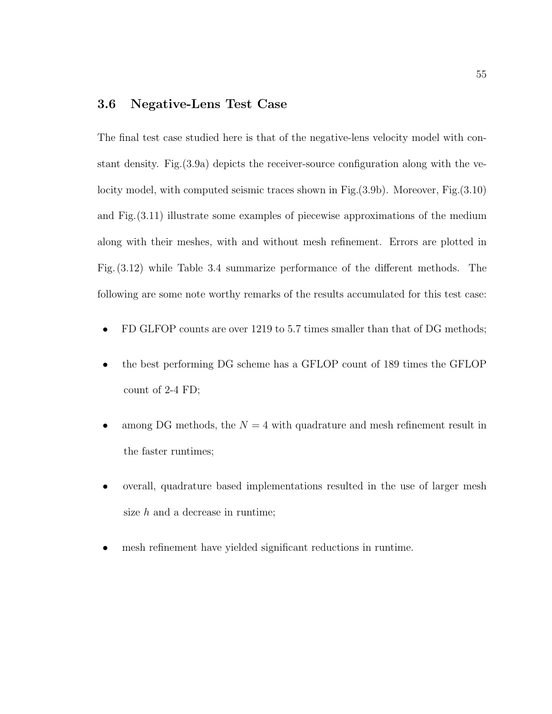## 3.6 Negative-Lens Test Case

The final test case studied here is that of the negative-lens velocity model with constant density. Fig.(3.9a) depicts the receiver-source configuration along with the velocity model, with computed seismic traces shown in Fig.(3.9b). Moreover, Fig.(3.10) and Fig.(3.11) illustrate some examples of piecewise approximations of the medium along with their meshes, with and without mesh refinement. Errors are plotted in Fig. (3.12) while Table 3.4 summarize performance of the different methods. The following are some note worthy remarks of the results accumulated for this test case:

- FD GLFOP counts are over 1219 to 5.7 times smaller than that of DG methods;
- the best performing DG scheme has a GFLOP count of 189 times the GFLOP count of 2-4 FD;
- among DG methods, the  $N = 4$  with quadrature and mesh refinement result in the faster runtimes;
- overall, quadrature based implementations resulted in the use of larger mesh size  $h$  and a decrease in runtime;
- mesh refinement have yielded significant reductions in runtime.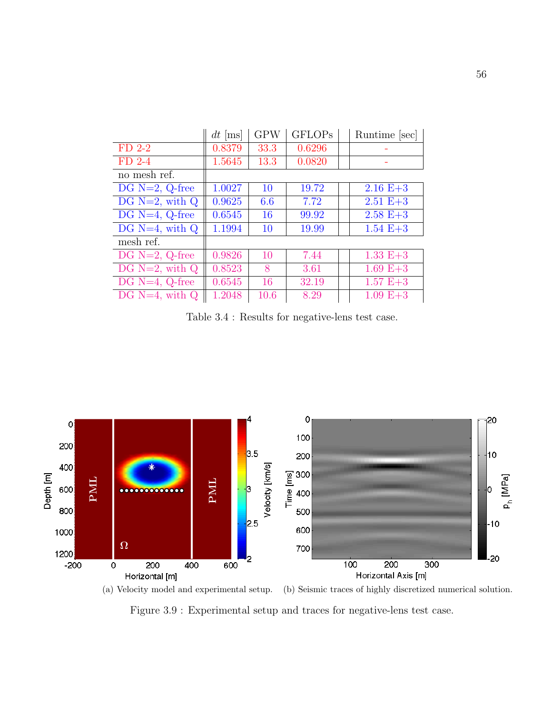|                     | $dt$ [ms] | <b>GPW</b> | <b>GFLOPs</b> | Runtime [sec] |
|---------------------|-----------|------------|---------------|---------------|
| $FD$ 2-2            | 0.8379    | 33.3       | 0.6296        |               |
| $FD$ 2-4            | 1.5645    | 13.3       | 0.0820        |               |
| no mesh ref.        |           |            |               |               |
| DG $N=2$ , Q-free   | 1.0027    | 10         | 19.72         | $2.16 E + 3$  |
| DG $N=2$ , with $Q$ | 0.9625    | 6.6        | 7.72          | $2.51 E + 3$  |
| DG $N=4$ , Q-free   | 0.6545    | 16         | 99.92         | $2.58 E + 3$  |
| DG $N=4$ , with $Q$ | 1.1994    | 10         | 19.99         | $1.54 E + 3$  |
| mesh ref.           |           |            |               |               |
| DG $N=2$ , Q-free   | 0.9826    | 10         | 7.44          | $1.33 E+3$    |
| DG $N=2$ , with $Q$ | 0.8523    | 8          | 3.61          | $1.69 E + 3$  |
| $DG N=4, Q-free$    | 0.6545    | 16         | 32.19         | $1.57 E + 3$  |
| DG $N=4$ , with Q   | 1.2048    | 10.6       | 8.29          | $1.09 E + 3$  |

Table 3.4 : Results for negative-lens test case.

56



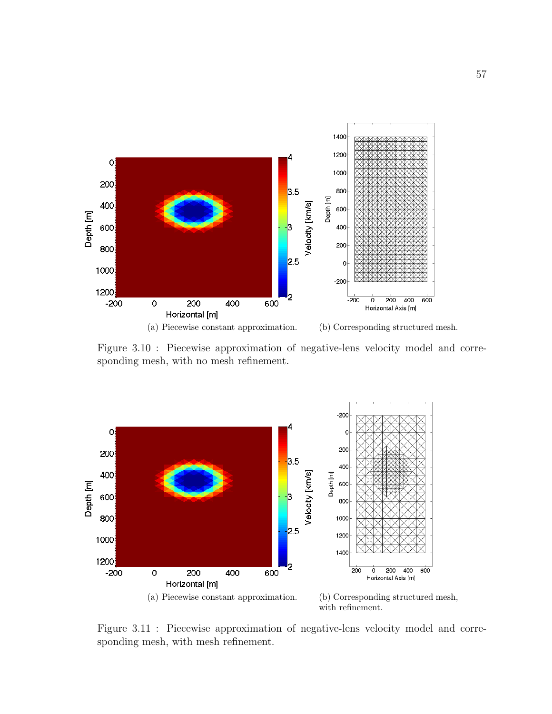

Figure 3.10 : Piecewise approximation of negative-lens velocity model and corresponding mesh, with no mesh refinement.



Figure 3.11 : Piecewise approximation of negative-lens velocity model and corresponding mesh, with mesh refinement.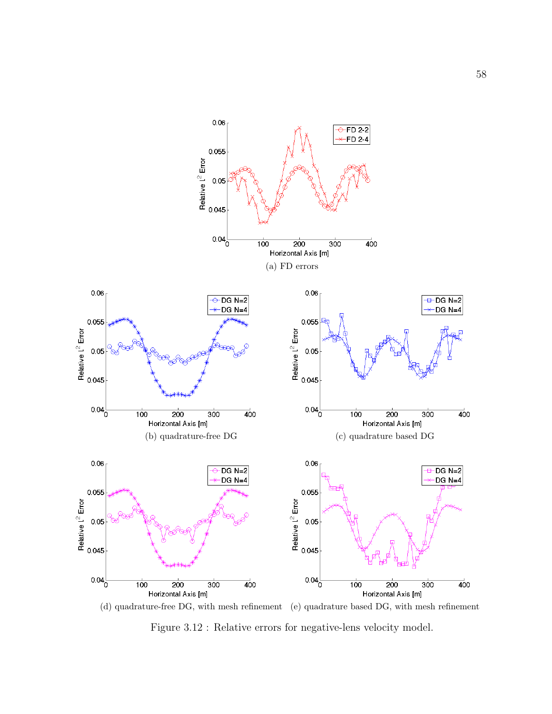

Figure 3.12 : Relative errors for negative-lens velocity model.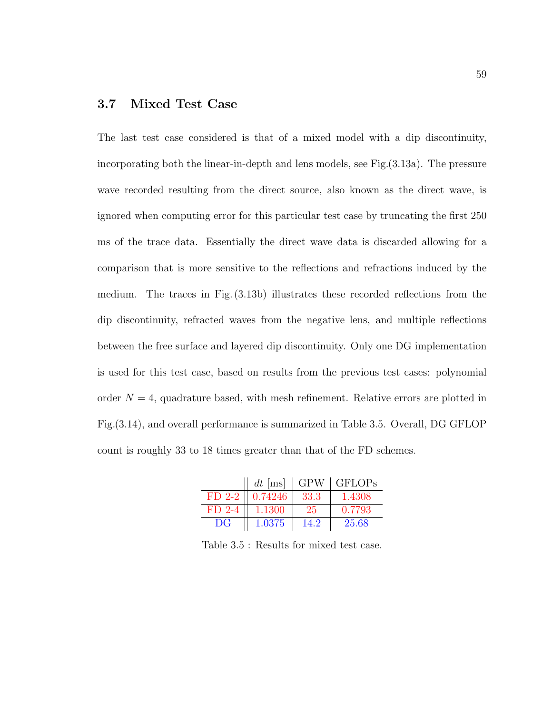# 3.7 Mixed Test Case

The last test case considered is that of a mixed model with a dip discontinuity, incorporating both the linear-in-depth and lens models, see Fig.(3.13a). The pressure wave recorded resulting from the direct source, also known as the direct wave, is ignored when computing error for this particular test case by truncating the first 250 ms of the trace data. Essentially the direct wave data is discarded allowing for a comparison that is more sensitive to the reflections and refractions induced by the medium. The traces in Fig. (3.13b) illustrates these recorded reflections from the dip discontinuity, refracted waves from the negative lens, and multiple reflections between the free surface and layered dip discontinuity. Only one DG implementation is used for this test case, based on results from the previous test cases: polynomial order  $N = 4$ , quadrature based, with mesh refinement. Relative errors are plotted in Fig.(3.14), and overall performance is summarized in Table 3.5. Overall, DG GFLOP count is roughly 33 to 18 times greater than that of the FD schemes.

|          | $dt$ [ms] | <b>GPW</b> | <b>GFLOPs</b> |
|----------|-----------|------------|---------------|
| $FD$ 2-2 | 0.74246   | 33.3       | 1.4308        |
| $FD$ 2-4 | 1.1300    | 25         | 0.7793        |
| DG       | 1.0375    | 14.2       | 25.68         |

Table 3.5 : Results for mixed test case.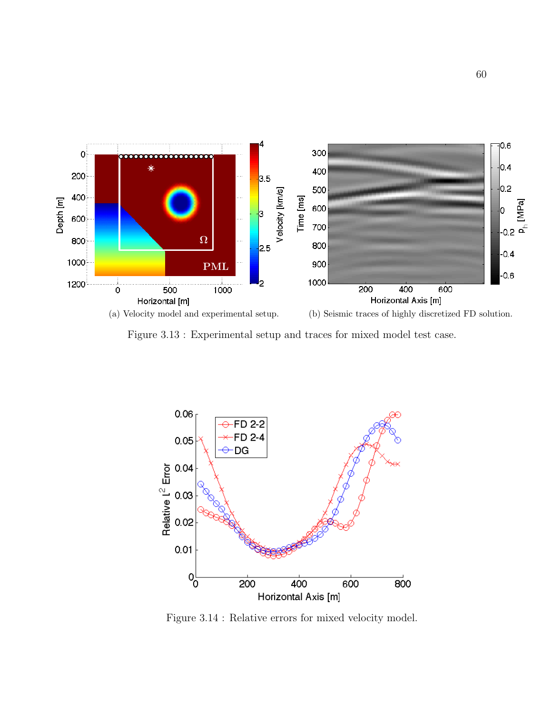

Figure 3.13 : Experimental setup and traces for mixed model test case.



Figure 3.14 : Relative errors for mixed velocity model.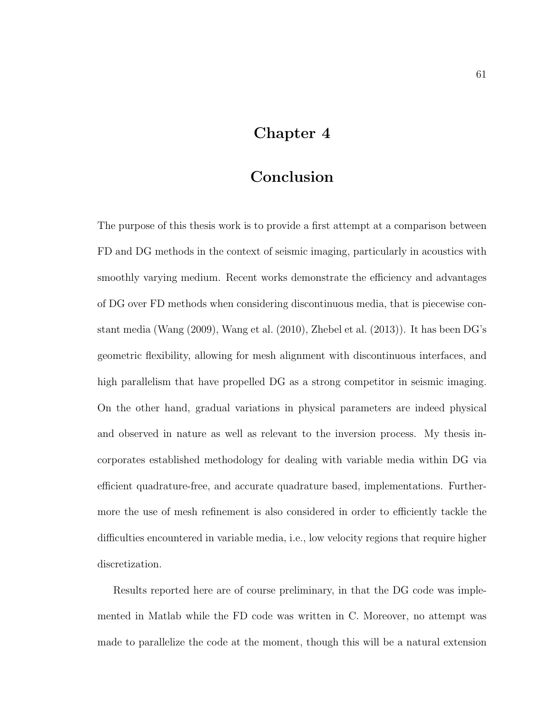# Chapter 4

# Conclusion

The purpose of this thesis work is to provide a first attempt at a comparison between FD and DG methods in the context of seismic imaging, particularly in acoustics with smoothly varying medium. Recent works demonstrate the efficiency and advantages of DG over FD methods when considering discontinuous media, that is piecewise constant media (Wang (2009), Wang et al. (2010), Zhebel et al. (2013)). It has been DG's geometric flexibility, allowing for mesh alignment with discontinuous interfaces, and high parallelism that have propelled DG as a strong competitor in seismic imaging. On the other hand, gradual variations in physical parameters are indeed physical and observed in nature as well as relevant to the inversion process. My thesis incorporates established methodology for dealing with variable media within DG via efficient quadrature-free, and accurate quadrature based, implementations. Furthermore the use of mesh refinement is also considered in order to efficiently tackle the difficulties encountered in variable media, i.e., low velocity regions that require higher discretization.

Results reported here are of course preliminary, in that the DG code was implemented in Matlab while the FD code was written in C. Moreover, no attempt was made to parallelize the code at the moment, though this will be a natural extension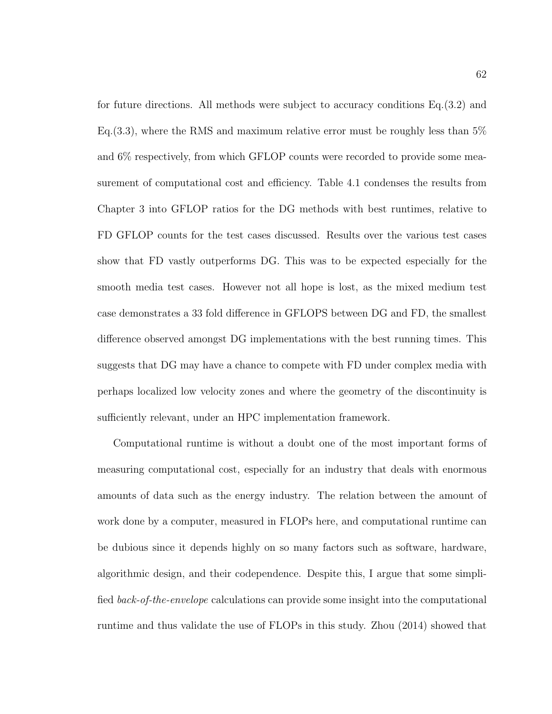for future directions. All methods were subject to accuracy conditions Eq.(3.2) and Eq.(3.3), where the RMS and maximum relative error must be roughly less than 5% and 6% respectively, from which GFLOP counts were recorded to provide some measurement of computational cost and efficiency. Table 4.1 condenses the results from Chapter 3 into GFLOP ratios for the DG methods with best runtimes, relative to FD GFLOP counts for the test cases discussed. Results over the various test cases show that FD vastly outperforms DG. This was to be expected especially for the smooth media test cases. However not all hope is lost, as the mixed medium test case demonstrates a 33 fold difference in GFLOPS between DG and FD, the smallest difference observed amongst DG implementations with the best running times. This suggests that DG may have a chance to compete with FD under complex media with perhaps localized low velocity zones and where the geometry of the discontinuity is sufficiently relevant, under an HPC implementation framework.

Computational runtime is without a doubt one of the most important forms of measuring computational cost, especially for an industry that deals with enormous amounts of data such as the energy industry. The relation between the amount of work done by a computer, measured in FLOPs here, and computational runtime can be dubious since it depends highly on so many factors such as software, hardware, algorithmic design, and their codependence. Despite this, I argue that some simplified back-of-the-envelope calculations can provide some insight into the computational runtime and thus validate the use of FLOPs in this study. Zhou (2014) showed that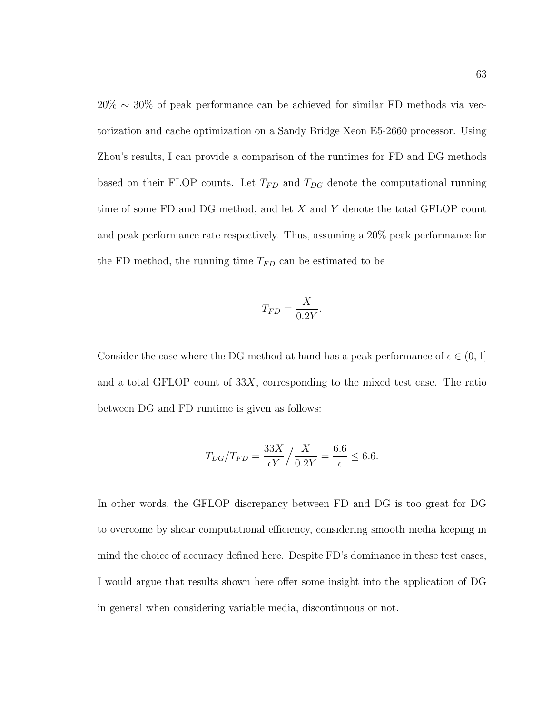20% ∼ 30% of peak performance can be achieved for similar FD methods via vectorization and cache optimization on a Sandy Bridge Xeon E5-2660 processor. Using Zhou's results, I can provide a comparison of the runtimes for FD and DG methods based on their FLOP counts. Let  $T_{FD}$  and  $T_{DG}$  denote the computational running time of some FD and DG method, and let X and Y denote the total GFLOP count and peak performance rate respectively. Thus, assuming a 20% peak performance for the FD method, the running time  $T_{FD}$  can be estimated to be

$$
T_{FD} = \frac{X}{0.2Y}.
$$

Consider the case where the DG method at hand has a peak performance of  $\epsilon \in (0,1]$ and a total GFLOP count of  $33X$ , corresponding to the mixed test case. The ratio between DG and FD runtime is given as follows:

$$
T_{DG}/T_{FD} = \frac{33X}{\epsilon Y} / \frac{X}{0.2Y} = \frac{6.6}{\epsilon} \le 6.6.
$$

In other words, the GFLOP discrepancy between FD and DG is too great for DG to overcome by shear computational efficiency, considering smooth media keeping in mind the choice of accuracy defined here. Despite FD's dominance in these test cases, I would argue that results shown here offer some insight into the application of DG in general when considering variable media, discontinuous or not.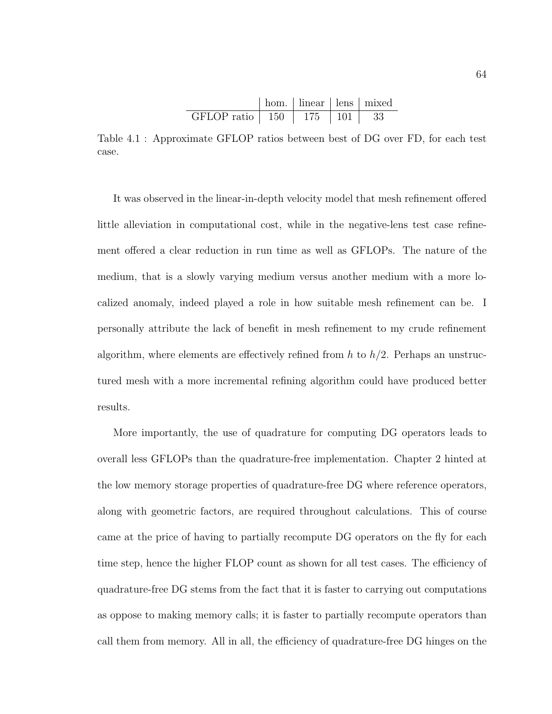|                         | hom. $ $ linear $ $ lens $ $ mixed |      |  |
|-------------------------|------------------------------------|------|--|
| GFLOP ratio $\vert$ 150 | -175                               | -101 |  |

Table 4.1 : Approximate GFLOP ratios between best of DG over FD, for each test case.

It was observed in the linear-in-depth velocity model that mesh refinement offered little alleviation in computational cost, while in the negative-lens test case refinement offered a clear reduction in run time as well as GFLOPs. The nature of the medium, that is a slowly varying medium versus another medium with a more localized anomaly, indeed played a role in how suitable mesh refinement can be. I personally attribute the lack of benefit in mesh refinement to my crude refinement algorithm, where elements are effectively refined from  $h$  to  $h/2$ . Perhaps an unstructured mesh with a more incremental refining algorithm could have produced better results.

More importantly, the use of quadrature for computing DG operators leads to overall less GFLOPs than the quadrature-free implementation. Chapter 2 hinted at the low memory storage properties of quadrature-free DG where reference operators, along with geometric factors, are required throughout calculations. This of course came at the price of having to partially recompute DG operators on the fly for each time step, hence the higher FLOP count as shown for all test cases. The efficiency of quadrature-free DG stems from the fact that it is faster to carrying out computations as oppose to making memory calls; it is faster to partially recompute operators than call them from memory. All in all, the efficiency of quadrature-free DG hinges on the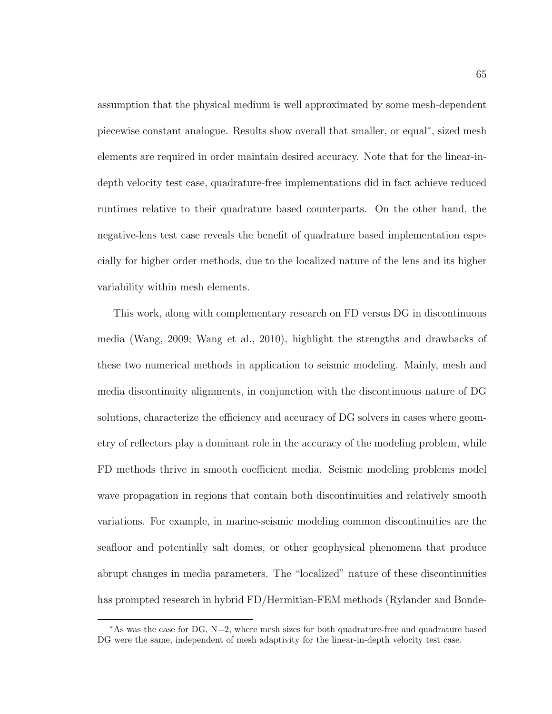assumption that the physical medium is well approximated by some mesh-dependent piecewise constant analogue. Results show overall that smaller, or equal<sup>∗</sup>, sized mesh elements are required in order maintain desired accuracy. Note that for the linear-indepth velocity test case, quadrature-free implementations did in fact achieve reduced runtimes relative to their quadrature based counterparts. On the other hand, the negative-lens test case reveals the benefit of quadrature based implementation especially for higher order methods, due to the localized nature of the lens and its higher variability within mesh elements.

This work, along with complementary research on FD versus DG in discontinuous media (Wang, 2009; Wang et al., 2010), highlight the strengths and drawbacks of these two numerical methods in application to seismic modeling. Mainly, mesh and media discontinuity alignments, in conjunction with the discontinuous nature of DG solutions, characterize the efficiency and accuracy of DG solvers in cases where geometry of reflectors play a dominant role in the accuracy of the modeling problem, while FD methods thrive in smooth coefficient media. Seismic modeling problems model wave propagation in regions that contain both discontinuities and relatively smooth variations. For example, in marine-seismic modeling common discontinuities are the seafloor and potentially salt domes, or other geophysical phenomena that produce abrupt changes in media parameters. The "localized" nature of these discontinuities has prompted research in hybrid FD/Hermitian-FEM methods (Rylander and Bonde-

<sup>∗</sup>As was the case for DG, N=2, where mesh sizes for both quadrature-free and quadrature based DG were the same, independent of mesh adaptivity for the linear-in-depth velocity test case.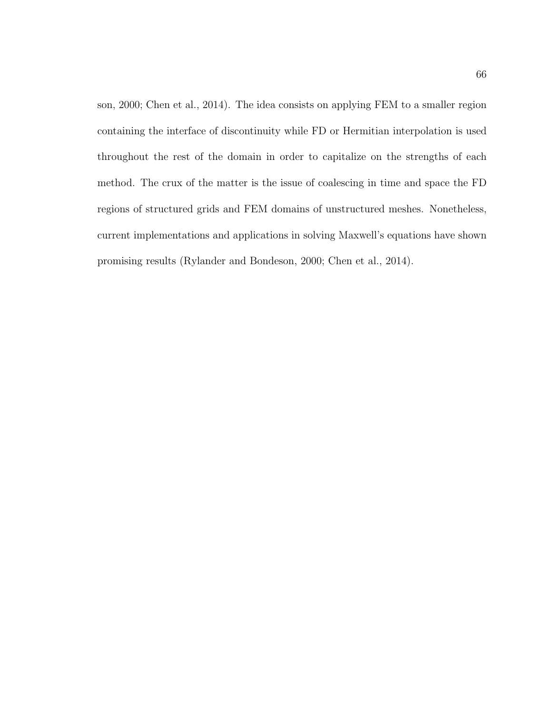son, 2000; Chen et al., 2014). The idea consists on applying FEM to a smaller region containing the interface of discontinuity while FD or Hermitian interpolation is used throughout the rest of the domain in order to capitalize on the strengths of each method. The crux of the matter is the issue of coalescing in time and space the FD regions of structured grids and FEM domains of unstructured meshes. Nonetheless, current implementations and applications in solving Maxwell's equations have shown promising results (Rylander and Bondeson, 2000; Chen et al., 2014).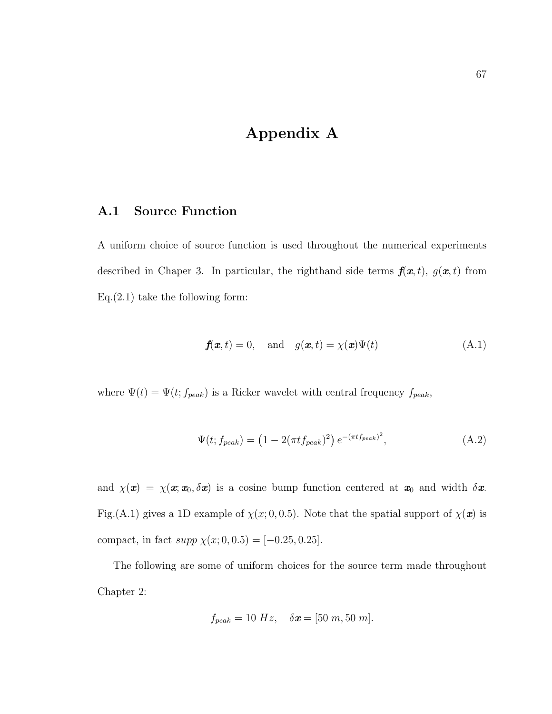## Appendix A

#### A.1 Source Function

A uniform choice of source function is used throughout the numerical experiments described in Chaper 3. In particular, the righthand side terms  $f(x, t)$ ,  $g(x, t)$  from  $Eq.(2.1)$  take the following form:

$$
\mathbf{f}(\mathbf{x},t) = 0, \quad \text{and} \quad g(\mathbf{x},t) = \chi(\mathbf{x})\Psi(t) \tag{A.1}
$$

where  $\Psi(t) = \Psi(t; f_{peak})$  is a Ricker wavelet with central frequency  $f_{peak}$ ,

$$
\Psi(t; f_{peak}) = (1 - 2(\pi t f_{peak})^2) e^{-(\pi t f_{peak})^2},
$$
\n(A.2)

and  $\chi(\mathbf{x}) = \chi(\mathbf{x}; \mathbf{x}_0, \delta \mathbf{x})$  is a cosine bump function centered at  $\mathbf{x}_0$  and width  $\delta \mathbf{x}$ . Fig.(A.1) gives a 1D example of  $\chi(x; 0, 0.5)$ . Note that the spatial support of  $\chi(\mathbf{x})$  is compact, in fact  $supp \chi(x; 0, 0.5) = [-0.25, 0.25]$ .

The following are some of uniform choices for the source term made throughout Chapter 2:

$$
f_{peak} = 10 Hz, \quad \delta x = [50 m, 50 m].
$$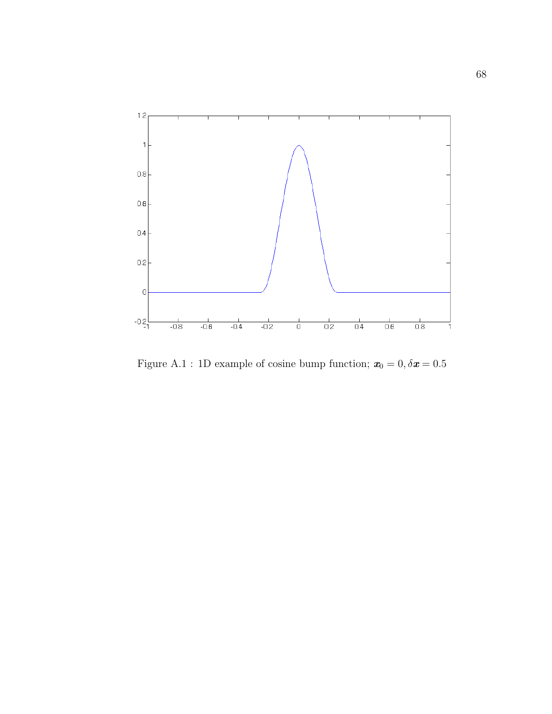

Figure A.1 : 1D example of cosine bump function;  $\textbf{\textit{x}}_0 = 0, \delta \textbf{\textit{x}} = 0.5$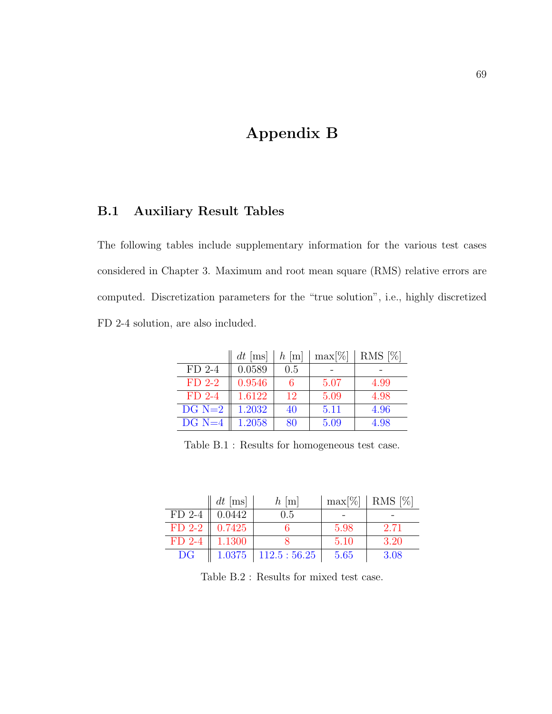# Appendix B

### B.1 Auxiliary Result Tables

The following tables include supplementary information for the various test cases considered in Chapter 3. Maximum and root mean square (RMS) relative errors are computed. Discretization parameters for the "true solution", i.e., highly discretized FD 2-4 solution, are also included.

|          | $dt$ [ms] | $h$ [m] | $\max[\%]$ | RMS [%] |
|----------|-----------|---------|------------|---------|
| $FD$ 2-4 | 0.0589    | 0.5     |            |         |
| $FD$ 2-2 | 0.9546    |         | 5.07       | 4.99    |
| $FD$ 2-4 | 1.6122    | 12      | 5.09       | 4.98    |
| $DG N=2$ | 1.2032    | 40      | 5.11       | 4.96    |
| $DG N=4$ | 1.2058    | 80      | 5.09       | 4.98    |

Table B.1 : Results for homogeneous test case.

|                             | $dt$ [ms] | $h$ [m]       |      | $max[\%]   RMS [\%]$ |
|-----------------------------|-----------|---------------|------|----------------------|
| $FD$ 2-4                    | 0.0442    | 0.5           |      |                      |
| $FD$ 2-2 $\parallel$ 0.7425 |           |               | 5.98 | 2.71                 |
| $FD$ 2-4                    | 1.1300    |               | 5.10 | 3.20                 |
| DG                          | 1.0375    | $112.5:56.25$ | 5.65 | 3.08                 |

Table B.2 : Results for mixed test case.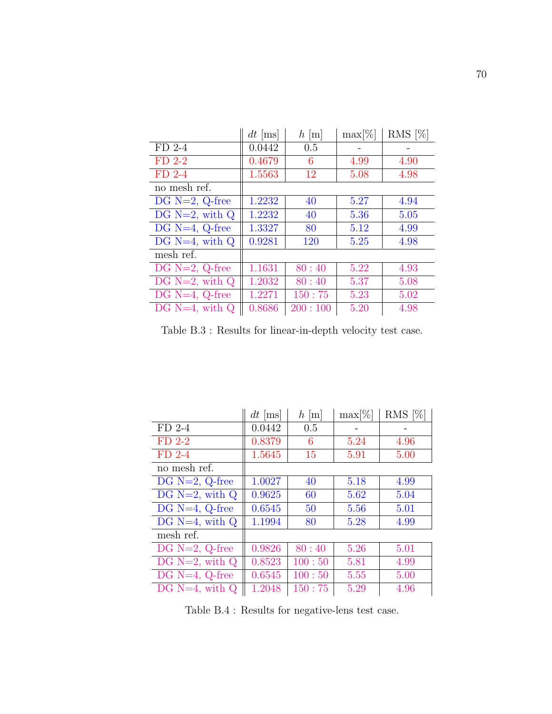|                     | $dt$ [ms] | $h \,[\mathrm{m}]$ | $\max[\%]$ | RMS $[\%]$ |
|---------------------|-----------|--------------------|------------|------------|
| $FD$ 2-4            | 0.0442    | 0.5                |            |            |
| $FD$ 2-2            | 0.4679    | 6                  | 4.99       | 4.90       |
| $FD$ 2-4            | 1.5563    | 12                 | 5.08       | 4.98       |
| no mesh ref.        |           |                    |            |            |
| DG $N=2$ , Q-free   | 1.2232    | 40                 | 5.27       | 4.94       |
| DG $N=2$ , with $Q$ | 1.2232    | 40                 | 5.36       | 5.05       |
| DG $N=4$ , Q-free   | 1.3327    | 80                 | 5.12       | 4.99       |
| DG $N=4$ , with $Q$ | 0.9281    | 120                | 5.25       | 4.98       |
| mesh ref.           |           |                    |            |            |
| DG $N=2$ , Q-free   | 1.1631    | 80:40              | 5.22       | 4.93       |
| DG $N=2$ , with $Q$ | 1.2032    | 80:40              | 5.37       | 5.08       |
| $DG N=4, Q-free$    | 1.2271    | 150:75             | 5.23       | 5.02       |
| DG $N=4$ , with Q   | 0.8686    | 200:100            | 5.20       | 4.98       |

Table B.3 : Results for linear-in-depth velocity test case.

|                     | $dt$ [ms] | $h$ [m] | $max[\%]$ | RMS $[\%]$ |
|---------------------|-----------|---------|-----------|------------|
| $FD$ 2-4            | 0.0442    | 0.5     |           |            |
| $FD$ 2-2            | 0.8379    | 6       | 5.24      | 4.96       |
| $FD$ 2-4            | 1.5645    | 15      | 5.91      | 5.00       |
| no mesh ref.        |           |         |           |            |
| $DG N=2, Q-free$    | 1.0027    | 40      | 5.18      | 4.99       |
| DG $N=2$ , with $Q$ | 0.9625    | 60      | 5.62      | 5.04       |
| DG $N=4$ , Q-free   | 0.6545    | 50      | 5.56      | 5.01       |
| DG $N=4$ , with $Q$ | 1.1994    | 80      | 5.28      | 4.99       |
| mesh ref.           |           |         |           |            |
| DG $N=2$ , Q-free   | 0.9826    | 80:40   | 5.26      | 5.01       |
| DG $N=2$ , with $Q$ | 0.8523    | 100:50  | 5.81      | 4.99       |
| $DG N=4, Q-free$    | 0.6545    | 100:50  | 5.55      | 5.00       |
| DG $N=4$ , with $Q$ | 1.2048    | 150:75  | 5.29      | 4.96       |

Table B.4 : Results for negative-lens test case.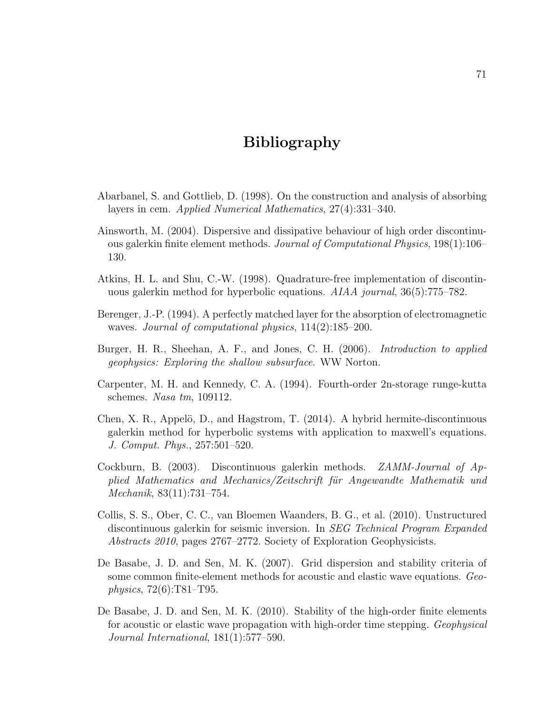## Bibliography

- Abarbanel, S. and Gottlieb, D. (1998). On the construction and analysis of absorbing layers in cem. Applied Numerical Mathematics, 27(4):331–340.
- Ainsworth, M. (2004). Dispersive and dissipative behaviour of high order discontinuous galerkin finite element methods. Journal of Computational Physics, 198(1):106– 130.
- Atkins, H. L. and Shu, C.-W. (1998). Quadrature-free implementation of discontinuous galerkin method for hyperbolic equations. *AIAA journal*, 36(5):775–782.
- Berenger, J.-P. (1994). A perfectly matched layer for the absorption of electromagnetic waves. Journal of computational physics, 114(2):185–200.
- Burger, H. R., Sheehan, A. F., and Jones, C. H. (2006). *Introduction to applied* geophysics: Exploring the shallow subsurface. WW Norton.
- Carpenter, M. H. and Kennedy, C. A. (1994). Fourth-order 2n-storage runge-kutta schemes. Nasa tm, 109112.
- Chen, X. R., Appelö, D., and Hagstrom, T.  $(2014)$ . A hybrid hermite-discontinuous galerkin method for hyperbolic systems with application to maxwell's equations. J. Comput. Phys., 257:501–520.
- Cockburn, B. (2003). Discontinuous galerkin methods. ZAMM-Journal of Applied Mathematics and Mechanics/Zeitschrift für Angewandte Mathematik und Mechanik, 83(11):731–754.
- Collis, S. S., Ober, C. C., van Bloemen Waanders, B. G., et al. (2010). Unstructured discontinuous galerkin for seismic inversion. In SEG Technical Program Expanded Abstracts 2010, pages 2767–2772. Society of Exploration Geophysicists.
- De Basabe, J. D. and Sen, M. K. (2007). Grid dispersion and stability criteria of some common finite-element methods for acoustic and elastic wave equations. Geophysics, 72(6):T81–T95.
- De Basabe, J. D. and Sen, M. K. (2010). Stability of the high-order finite elements for acoustic or elastic wave propagation with high-order time stepping. Geophysical Journal International, 181(1):577–590.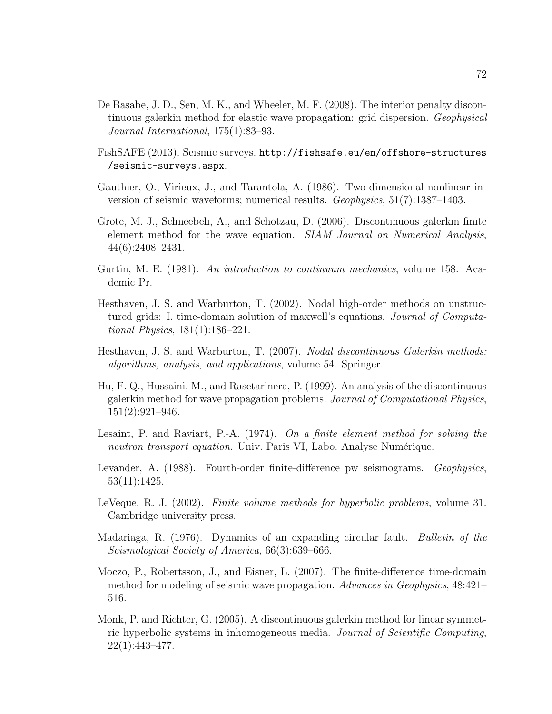- De Basabe, J. D., Sen, M. K., and Wheeler, M. F. (2008). The interior penalty discontinuous galerkin method for elastic wave propagation: grid dispersion. Geophysical Journal International, 175(1):83–93.
- FishSAFE (2013). Seismic surveys. http://fishsafe.eu/en/offshore-structures /seismic-surveys.aspx.
- Gauthier, O., Virieux, J., and Tarantola, A. (1986). Two-dimensional nonlinear inversion of seismic waveforms; numerical results. Geophysics, 51(7):1387–1403.
- Grote, M. J., Schneebeli, A., and Schötzau, D. (2006). Discontinuous galerkin finite element method for the wave equation. SIAM Journal on Numerical Analysis, 44(6):2408–2431.
- Gurtin, M. E. (1981). An introduction to continuum mechanics, volume 158. Academic Pr.
- Hesthaven, J. S. and Warburton, T. (2002). Nodal high-order methods on unstructured grids: I. time-domain solution of maxwell's equations. Journal of Computational Physics, 181(1):186–221.
- Hesthaven, J. S. and Warburton, T. (2007). Nodal discontinuous Galerkin methods: algorithms, analysis, and applications, volume 54. Springer.
- Hu, F. Q., Hussaini, M., and Rasetarinera, P. (1999). An analysis of the discontinuous galerkin method for wave propagation problems. Journal of Computational Physics, 151(2):921–946.
- Lesaint, P. and Raviart, P.-A.  $(1974)$ . On a finite element method for solving the neutron transport equation. Univ. Paris VI, Labo. Analyse Numérique.
- Levander, A. (1988). Fourth-order finite-difference pw seismograms. Geophysics, 53(11):1425.
- LeVeque, R. J. (2002). Finite volume methods for hyperbolic problems, volume 31. Cambridge university press.
- Madariaga, R. (1976). Dynamics of an expanding circular fault. Bulletin of the Seismological Society of America, 66(3):639–666.
- Moczo, P., Robertsson, J., and Eisner, L. (2007). The finite-difference time-domain method for modeling of seismic wave propagation. Advances in Geophysics, 48:421– 516.
- Monk, P. and Richter, G. (2005). A discontinuous galerkin method for linear symmetric hyperbolic systems in inhomogeneous media. Journal of Scientific Computing, 22(1):443–477.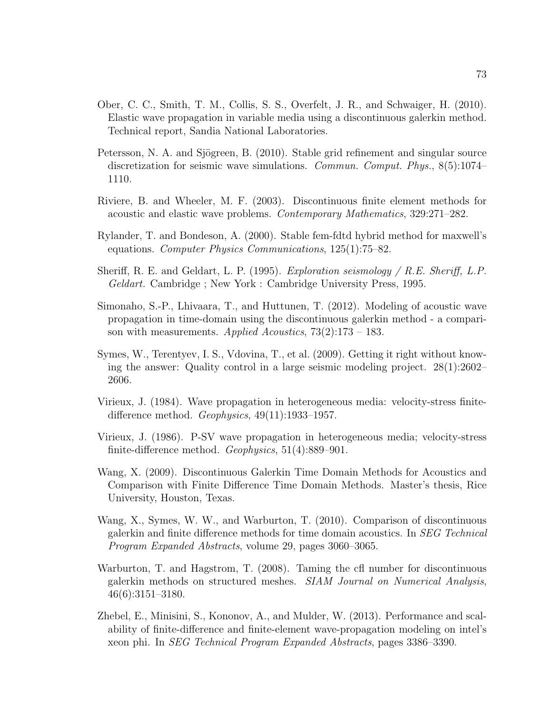- Ober, C. C., Smith, T. M., Collis, S. S., Overfelt, J. R., and Schwaiger, H. (2010). Elastic wave propagation in variable media using a discontinuous galerkin method. Technical report, Sandia National Laboratories.
- Petersson, N. A. and Sjögreen, B. (2010). Stable grid refinement and singular source discretization for seismic wave simulations. Commun. Comput. Phys., 8(5):1074– 1110.
- Riviere, B. and Wheeler, M. F. (2003). Discontinuous finite element methods for acoustic and elastic wave problems. Contemporary Mathematics, 329:271–282.
- Rylander, T. and Bondeson, A. (2000). Stable fem-fdtd hybrid method for maxwell's equations. Computer Physics Communications, 125(1):75–82.
- Sheriff, R. E. and Geldart, L. P. (1995). *Exploration seismology / R.E. Sheriff, L.P.* Geldart. Cambridge ; New York : Cambridge University Press, 1995.
- Simonaho, S.-P., Lhivaara, T., and Huttunen, T. (2012). Modeling of acoustic wave propagation in time-domain using the discontinuous galerkin method - a comparison with measurements. Applied Acoustics,  $73(2):173-183$ .
- Symes, W., Terentyev, I. S., Vdovina, T., et al. (2009). Getting it right without knowing the answer: Quality control in a large seismic modeling project. 28(1):2602– 2606.
- Virieux, J. (1984). Wave propagation in heterogeneous media: velocity-stress finitedifference method.  $Geophysics$ ,  $49(11):1933-1957$ .
- Virieux, J. (1986). P-SV wave propagation in heterogeneous media; velocity-stress finite-difference method. Geophysics, 51(4):889–901.
- Wang, X. (2009). Discontinuous Galerkin Time Domain Methods for Acoustics and Comparison with Finite Difference Time Domain Methods. Master's thesis, Rice University, Houston, Texas.
- Wang, X., Symes, W. W., and Warburton, T. (2010). Comparison of discontinuous galerkin and finite difference methods for time domain acoustics. In SEG Technical Program Expanded Abstracts, volume 29, pages 3060–3065.
- Warburton, T. and Hagstrom, T. (2008). Taming the cfl number for discontinuous galerkin methods on structured meshes. SIAM Journal on Numerical Analysis, 46(6):3151–3180.
- Zhebel, E., Minisini, S., Kononov, A., and Mulder, W. (2013). Performance and scalability of finite-difference and finite-element wave-propagation modeling on intel's xeon phi. In SEG Technical Program Expanded Abstracts, pages 3386–3390.